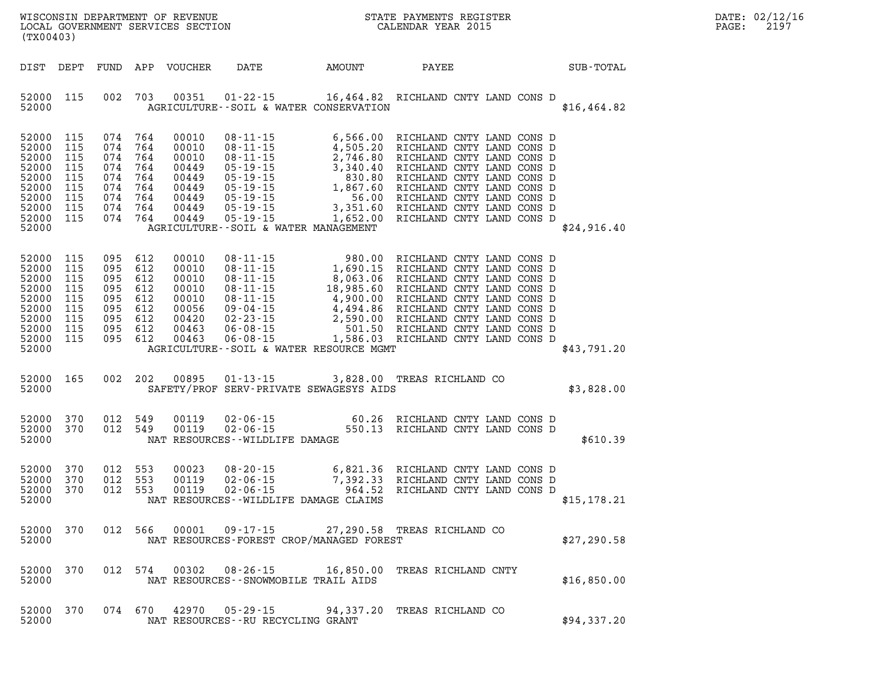| (TX00403)                                                                                  |                                                      |                                                                                         |                                                             | LOCAL GOVERNMENT SERVICES SECTION                                             |                                          |        |                                                                                                                                                                                                                                               |              | DATE: 02/12/16<br>2197<br>PAGE: |
|--------------------------------------------------------------------------------------------|------------------------------------------------------|-----------------------------------------------------------------------------------------|-------------------------------------------------------------|-------------------------------------------------------------------------------|------------------------------------------|--------|-----------------------------------------------------------------------------------------------------------------------------------------------------------------------------------------------------------------------------------------------|--------------|---------------------------------|
| DIST DEPT                                                                                  |                                                      |                                                                                         |                                                             | FUND APP VOUCHER                                                              | DATE                                     | AMOUNT | PAYEE                                                                                                                                                                                                                                         | SUB-TOTAL    |                                 |
| 52000 115<br>52000                                                                         |                                                      |                                                                                         | 002 703                                                     | 00351                                                                         | AGRICULTURE--SOIL & WATER CONSERVATION   |        | 01-22-15 16,464.82 RICHLAND CNTY LAND CONS D                                                                                                                                                                                                  | \$16, 464.82 |                                 |
| 52000<br>52000<br>52000<br>52000<br>52000<br>52000<br>52000<br>52000<br>52000 115<br>52000 | 115<br>115<br>115<br>115<br>115<br>115<br>115<br>115 | 074<br>074<br>074<br>074<br>074<br>074<br>074<br>074<br>074                             | 764<br>764<br>764<br>764<br>764<br>764<br>764<br>764<br>764 | 00010<br>00010<br>00010<br>00449<br>00449<br>00449<br>00449<br>00449<br>00449 | AGRICULTURE--SOIL & WATER MANAGEMENT     |        | 08-11-15 6,566.00 RICHLAND CNTY LAND CONS D<br>08-11-15 4,505.20 RICHLAND CNTY LAND CONS D<br>08-11-15 2,746.80 RICHLAND CNTY LAND CONS D<br>05-19-15 3,340.40 RICHLAND CNTY LAND CONS D<br>05-19-15 830.80 RICHLAND CNTY LAND CONS D<br>     | \$24,916.40  |                                 |
| 52000<br>52000<br>52000<br>52000<br>52000<br>52000<br>52000<br>52000<br>52000 115<br>52000 | 115<br>115<br>115<br>115<br>115<br>115<br>115<br>115 | 095<br>095 612<br>095 612<br>095 612<br>095 612<br>095<br>095 612<br>095 612<br>095 612 | 612<br>612                                                  | 00010<br>00010<br>00010<br>00010<br>00010<br>00056<br>00420<br>00463<br>00463 | AGRICULTURE--SOIL & WATER RESOURCE MGMT  |        | 08-11-15 980.00 RICHLAND CNTY LAND CONS D<br>08-11-15 1,690.15 RICHLAND CNTY LAND CONS D<br>08-11-15 8,063.06 RICHLAND CNTY LAND CONS D<br>08-11-15 18,985.60 RICHLAND CNTY LAND CONS D<br>08-11-15 4,900.00 RICHLAND CNTY LAND CONS D<br>09- | \$43,791.20  |                                 |
| 52000 165<br>52000                                                                         |                                                      | 002 202                                                                                 |                                                             | 00895                                                                         | SAFETY/PROF SERV-PRIVATE SEWAGESYS AIDS  |        | 01-13-15 3,828.00 TREAS RICHLAND CO                                                                                                                                                                                                           | \$3,828.00   |                                 |
| 52000<br>52000 370<br>52000                                                                | 370                                                  | 012 549<br>012 549                                                                      |                                                             | 00119<br>00119                                                                | NAT RESOURCES - WILDLIFE DAMAGE          |        | $02-06-15$ $02-06-15$ $02-06-15$ $02-06-15$ $02-06-15$ $02-06-15$ $02-06-15$ $02-06-15$                                                                                                                                                       | \$610.39     |                                 |
| 52000<br>52000<br>52000<br>52000                                                           | 370<br>370<br>370                                    | 012<br>012<br>012 553                                                                   | 553<br>553                                                  | 00023<br>00119<br>00119                                                       | NAT RESOURCES--WILDLIFE DAMAGE CLAIMS    |        |                                                                                                                                                                                                                                               | \$15, 178.21 |                                 |
| 52000 370<br>52000                                                                         |                                                      |                                                                                         | 012 566                                                     |                                                                               | NAT RESOURCES-FOREST CROP/MANAGED FOREST |        | 00001  09-17-15  27,290.58  TREAS RICHLAND CO                                                                                                                                                                                                 | \$27,290.58  |                                 |
| 52000 370<br>52000                                                                         |                                                      |                                                                                         | 012 574                                                     |                                                                               | NAT RESOURCES - - SNOWMOBILE TRAIL AIDS  |        | 00302  08-26-15  16,850.00  TREAS RICHLAND CNTY                                                                                                                                                                                               | \$16,850.00  |                                 |
| 52000 370<br>52000                                                                         |                                                      |                                                                                         | 074 670                                                     |                                                                               | NAT RESOURCES -- RU RECYCLING GRANT      |        | 42970  05-29-15  94,337.20  TREAS RICHLAND CO                                                                                                                                                                                                 | \$94,337.20  |                                 |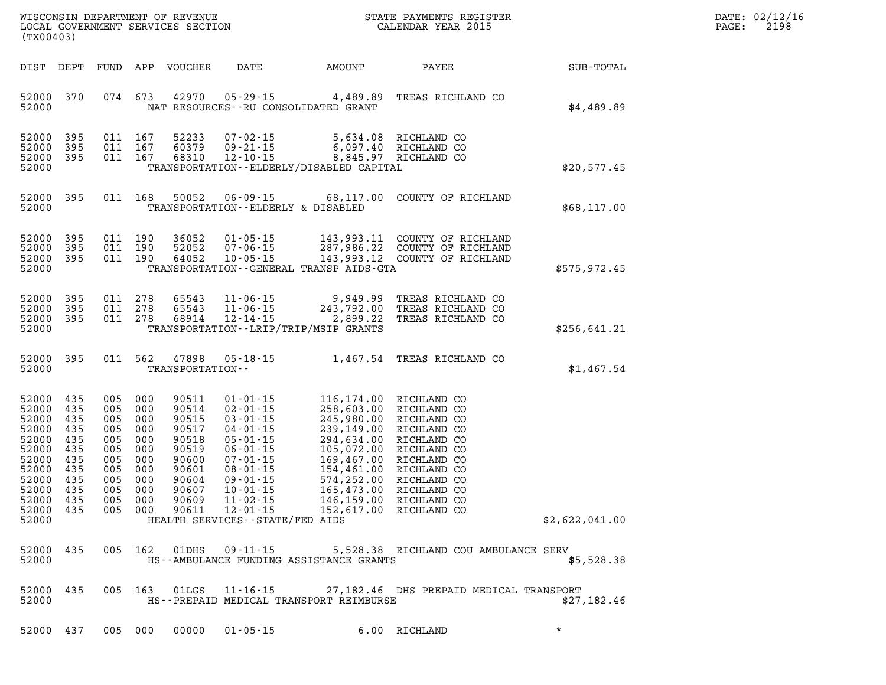| WISCONSIN DEPARTMENT OF REVENUE      | PAYMENTS REGISTER<br>3TATE | DATE: | 02/12/16 |
|--------------------------------------|----------------------------|-------|----------|
| GOVERNMENT SERVICES SECTION<br>LOCAL | CALENDAR YEAR 2015         | PAGE  | 2198     |

| (TX00403)                                                                                                         |                                                                                  |                                                                                          |                                                                    | LOCAL GOVERNMENT SERVICES SECTION                                                                        |                                                                                                                                                                                                                                                         |                                                                                                                                                                                                                                | CALENDAR YEAR 2015                                                                                                                                 |                | PAGE: | 2198 |
|-------------------------------------------------------------------------------------------------------------------|----------------------------------------------------------------------------------|------------------------------------------------------------------------------------------|--------------------------------------------------------------------|----------------------------------------------------------------------------------------------------------|---------------------------------------------------------------------------------------------------------------------------------------------------------------------------------------------------------------------------------------------------------|--------------------------------------------------------------------------------------------------------------------------------------------------------------------------------------------------------------------------------|----------------------------------------------------------------------------------------------------------------------------------------------------|----------------|-------|------|
|                                                                                                                   |                                                                                  |                                                                                          |                                                                    | DIST DEPT FUND APP VOUCHER                                                                               |                                                                                                                                                                                                                                                         | DATE AMOUNT                                                                                                                                                                                                                    | PAYEE                                                                                                                                              | SUB-TOTAL      |       |      |
| 52000 370<br>52000                                                                                                |                                                                                  | 074 673                                                                                  |                                                                    | 42970                                                                                                    |                                                                                                                                                                                                                                                         | $05 - 29 - 15$ 4,489.89<br>NAT RESOURCES - - RU CONSOLIDATED GRANT                                                                                                                                                             | TREAS RICHLAND CO                                                                                                                                  | \$4,489.89     |       |      |
| 52000<br>52000<br>52000<br>52000                                                                                  | 395<br>395<br>395                                                                | 011 167<br>011 167<br>011 167                                                            |                                                                    | 52233<br>60379<br>68310                                                                                  | 09-21-15<br>12-10-15                                                                                                                                                                                                                                    | TRANSPORTATION - - ELDERLY/DISABLED CAPITAL                                                                                                                                                                                    |                                                                                                                                                    | \$20,577.45    |       |      |
| 52000 395<br>52000                                                                                                |                                                                                  |                                                                                          | 011 168                                                            | 50052                                                                                                    | TRANSPORTATION--ELDERLY & DISABLED                                                                                                                                                                                                                      |                                                                                                                                                                                                                                | 06-09-15 68,117.00 COUNTY OF RICHLAND                                                                                                              | \$68,117.00    |       |      |
| 52000<br>52000<br>52000<br>52000                                                                                  | 395<br>395<br>395                                                                | 011 190<br>011 190<br>011 190                                                            |                                                                    | 36052<br>52052<br>64052                                                                                  | 01-05-15<br>$07 - 06 - 15$<br>$10 - 05 - 15$                                                                                                                                                                                                            | TRANSPORTATION - - GENERAL TRANSP AIDS - GTA                                                                                                                                                                                   | 143,993.11 COUNTY OF RICHLAND<br>287,986.22 COUNTY OF RICHLAND<br>143,993.12 COUNTY OF RICHLAND                                                    | \$575,972.45   |       |      |
| 52000<br>52000<br>52000<br>52000                                                                                  | 395<br>395<br>395                                                                | 011 278<br>011 278<br>011 278                                                            |                                                                    | 65543<br>65543<br>68914                                                                                  | 11-06-15<br>12-14-15                                                                                                                                                                                                                                    | 11-06-15 9,949.99<br>11-06-15 243,792.00<br>2,899.22<br>TRANSPORTATION - - LRIP/TRIP/MSIP GRANTS                                                                                                                               | TREAS RICHLAND CO<br>TREAS RICHLAND CO<br>TREAS RICHLAND CO                                                                                        | \$256,641.21   |       |      |
| 52000 395<br>52000                                                                                                |                                                                                  |                                                                                          | 011 562                                                            | 47898<br>TRANSPORTATION--                                                                                | 05-18-15                                                                                                                                                                                                                                                |                                                                                                                                                                                                                                | 1,467.54 TREAS RICHLAND CO                                                                                                                         | \$1,467.54     |       |      |
| 52000<br>52000<br>52000<br>52000<br>52000<br>52000<br>52000<br>52000<br>52000<br>52000<br>52000<br>52000<br>52000 | 435<br>435<br>435<br>435<br>435<br>435<br>435<br>435<br>435<br>435<br>435<br>435 | 005 000<br>005 000<br>005<br>005<br>005<br>005<br>005<br>005<br>005<br>005<br>005<br>005 | 000<br>000<br>000<br>000<br>000<br>000<br>000<br>000<br>000<br>000 | 90511<br>90514<br>90515<br>90517<br>90518<br>90519<br>90600<br>90601<br>90604<br>90607<br>90609<br>90611 | $01 - 01 - 15$<br>$02 - 01 - 15$<br>$03 - 01 - 15$<br>$04 - 01 - 15$<br>$05 - 01 - 15$<br>$06 - 01 - 15$<br>$07 - 01 - 15$<br>$08 - 01 - 15$<br>$09 - 01 - 15$<br>$10 - 01 - 15$<br>$11 - 02 - 15$<br>$12 - 01 - 15$<br>HEALTH SERVICES--STATE/FED AIDS | 116,174.00 RICHLAND CO<br>258,603.00 RICHLAND CO<br>$258,603.00$<br>$245,980.00$<br>$239,149.00$<br>$294,634.00$<br>$169,467.00$<br>$154,461.00$<br>$574,252.00$<br>$165,473.00$<br>$146,159.00$<br>$152,617.00$<br>152,617.00 | RICHLAND CO<br>RICHLAND CO<br>RICHLAND CO<br>RICHLAND CO<br>RICHLAND CO<br>RICHLAND CO<br>RICHLAND CO<br>RICHLAND CO<br>RICHLAND CO<br>RICHLAND CO | \$2,622,041.00 |       |      |
| 52000 435<br>52000                                                                                                |                                                                                  |                                                                                          | 005 162                                                            | 01DHS                                                                                                    | $09 - 11 - 15$                                                                                                                                                                                                                                          | HS--AMBULANCE FUNDING ASSISTANCE GRANTS                                                                                                                                                                                        | 5,528.38 RICHLAND COU AMBULANCE SERV                                                                                                               | \$5,528.38     |       |      |
| 52000 435<br>52000                                                                                                |                                                                                  |                                                                                          | 005 163                                                            |                                                                                                          | $01LGS$ $11-16-15$                                                                                                                                                                                                                                      | HS--PREPAID MEDICAL TRANSPORT REIMBURSE                                                                                                                                                                                        | 27,182.46 DHS PREPAID MEDICAL TRANSPORT                                                                                                            | \$27,182.46    |       |      |

**52000 437 005 000 00000 01-05-15 6.00 RICHLAND \***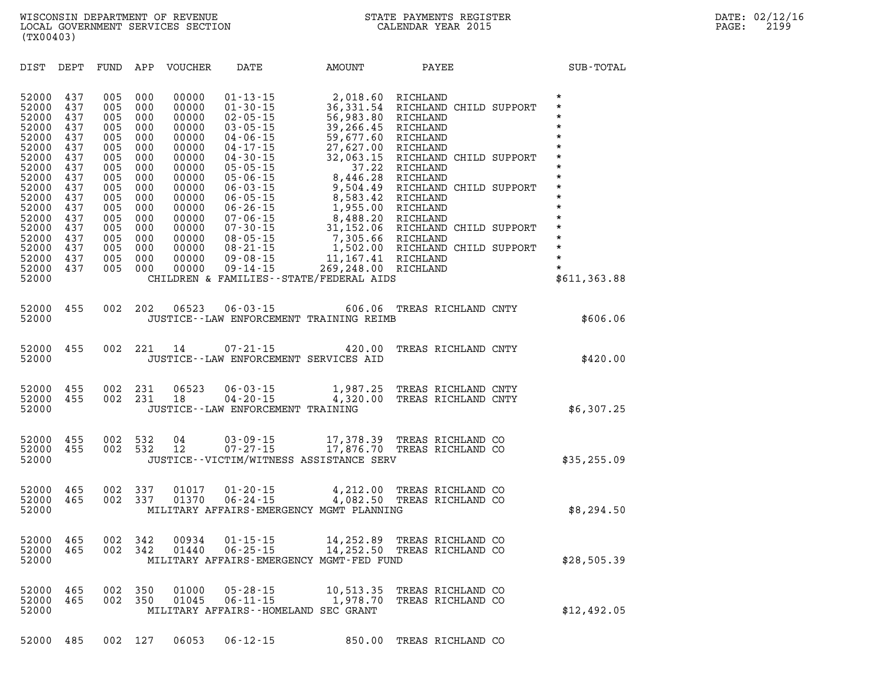| DIST<br>DEPT                                                                                                                                                                                                                                                                                          | FUND                                                                                                                       | APP<br><b>VOUCHER</b>                                                                                                                                                                                                                                                                        | DATE                                                                                                                                                                                                                                                                                                                             | <b>AMOUNT</b>                                                                                                                                                                                                                                                              | PAYEE                                                                                                                                                                                                                                                                                      | SUB-TOTAL                                                                                                                                                                                                          |
|-------------------------------------------------------------------------------------------------------------------------------------------------------------------------------------------------------------------------------------------------------------------------------------------------------|----------------------------------------------------------------------------------------------------------------------------|----------------------------------------------------------------------------------------------------------------------------------------------------------------------------------------------------------------------------------------------------------------------------------------------|----------------------------------------------------------------------------------------------------------------------------------------------------------------------------------------------------------------------------------------------------------------------------------------------------------------------------------|----------------------------------------------------------------------------------------------------------------------------------------------------------------------------------------------------------------------------------------------------------------------------|--------------------------------------------------------------------------------------------------------------------------------------------------------------------------------------------------------------------------------------------------------------------------------------------|--------------------------------------------------------------------------------------------------------------------------------------------------------------------------------------------------------------------|
| 52000<br>437<br>52000<br>437<br>52000<br>437<br>52000<br>437<br>52000<br>437<br>52000<br>437<br>52000<br>437<br>52000<br>437<br>52000<br>437<br>52000<br>437<br>52000<br>437<br>52000<br>437<br>52000<br>437<br>52000<br>437<br>52000<br>437<br>437<br>52000<br>52000<br>437<br>52000<br>437<br>52000 | 005<br>005<br>005<br>005<br>005<br>005<br>005<br>005<br>005<br>005<br>005<br>005<br>005<br>005<br>005<br>005<br>005<br>005 | 000<br>00000<br>00000<br>000<br>000<br>00000<br>000<br>00000<br>000<br>00000<br>000<br>00000<br>000<br>00000<br>000<br>00000<br>000<br>00000<br>000<br>00000<br>000<br>00000<br>000<br>00000<br>000<br>00000<br>000<br>00000<br>000<br>00000<br>000<br>00000<br>000<br>00000<br>000<br>00000 | $01 - 13 - 15$<br>$01 - 30 - 15$<br>$02 - 05 - 15$<br>$03 - 05 - 15$<br>$04 - 06 - 15$<br>$04 - 17 - 15$<br>$04 - 30 - 15$<br>$05 - 05 - 15$<br>$05 - 06 - 15$<br>$06 - 03 - 15$<br>$06 - 05 - 15$<br>$06 - 26 - 15$<br>$07 - 06 - 15$<br>$07 - 30 - 15$<br>$08 - 05 - 15$<br>$08 - 21 - 15$<br>$09 - 08 - 15$<br>$09 - 14 - 15$ | 2,018.60<br>36, 331.54<br>56,983.80<br>39,266.45<br>59,677.60<br>27,627.00<br>32,063.15<br>37.22<br>8,446.28<br>9,504.49<br>8,583.42<br>1,955.00<br>8,488.20<br>31,152.06<br>7,305.66<br>1,502.00<br>11,167.41<br>269,248.00<br>CHILDREN & FAMILIES - - STATE/FEDERAL AIDS | RICHLAND<br>RICHLAND CHILD SUPPORT<br>RICHLAND<br>RICHLAND<br>RICHLAND<br>RICHLAND<br>RICHLAND CHILD SUPPORT<br>RICHLAND<br>RICHLAND<br>RICHLAND CHILD SUPPORT<br>RICHLAND<br>RICHLAND<br>RICHLAND<br>RICHLAND CHILD SUPPORT<br>RICHLAND<br>RICHLAND CHILD SUPPORT<br>RICHLAND<br>RICHLAND | $\star$<br>$\star$<br>$\star$<br>$\star$<br>$\star$<br>$\star$<br>$\star$<br>$\star$<br>$\star$<br>$\star$<br>$\star$<br>$\star$<br>$\star$<br>$\star$<br>$\star$<br>$\star$<br>$\star$<br>$\star$<br>\$611,363.88 |
| 52000<br>455<br>52000                                                                                                                                                                                                                                                                                 | 002                                                                                                                        | 202<br>06523                                                                                                                                                                                                                                                                                 | $06 - 03 - 15$                                                                                                                                                                                                                                                                                                                   | 606.06<br>JUSTICE--LAW ENFORCEMENT TRAINING REIMB                                                                                                                                                                                                                          | TREAS RICHLAND CNTY                                                                                                                                                                                                                                                                        | \$606.06                                                                                                                                                                                                           |
| 52000<br>455<br>52000                                                                                                                                                                                                                                                                                 | 002                                                                                                                        | 221<br>14                                                                                                                                                                                                                                                                                    | $07 - 21 - 15$                                                                                                                                                                                                                                                                                                                   | 420.00<br>JUSTICE -- LAW ENFORCEMENT SERVICES AID                                                                                                                                                                                                                          | TREAS RICHLAND CNTY                                                                                                                                                                                                                                                                        | \$420.00                                                                                                                                                                                                           |
| 52000<br>455<br>52000<br>455<br>52000                                                                                                                                                                                                                                                                 | 002<br>002                                                                                                                 | 06523<br>231<br>231<br>18                                                                                                                                                                                                                                                                    | $06 - 03 - 15$<br>$04 - 20 - 15$<br>JUSTICE--LAW ENFORCEMENT TRAINING                                                                                                                                                                                                                                                            | 1,987.25<br>4,320.00                                                                                                                                                                                                                                                       | TREAS RICHLAND CNTY<br>TREAS RICHLAND CNTY                                                                                                                                                                                                                                                 | \$6,307.25                                                                                                                                                                                                         |
| 455<br>52000<br>52000<br>455<br>52000                                                                                                                                                                                                                                                                 | 002<br>002                                                                                                                 | 532<br>04<br>532<br>12                                                                                                                                                                                                                                                                       | $03 - 09 - 15$<br>$07 - 27 - 15$                                                                                                                                                                                                                                                                                                 | 17,378.39<br>17,876.70<br>JUSTICE--VICTIM/WITNESS ASSISTANCE SERV                                                                                                                                                                                                          | TREAS RICHLAND CO<br>TREAS RICHLAND CO                                                                                                                                                                                                                                                     | \$35,255.09                                                                                                                                                                                                        |
| 52000<br>465<br>52000<br>465<br>52000                                                                                                                                                                                                                                                                 | 002<br>002                                                                                                                 | 337<br>01017<br>337<br>01370                                                                                                                                                                                                                                                                 | $01 - 20 - 15$<br>$06 - 24 - 15$                                                                                                                                                                                                                                                                                                 | 4,212.00<br>4,082.50<br>MILITARY AFFAIRS-EMERGENCY MGMT PLANNING                                                                                                                                                                                                           | TREAS RICHLAND CO<br>TREAS RICHLAND CO                                                                                                                                                                                                                                                     | \$8,294.50                                                                                                                                                                                                         |
| 52000<br>465<br>52000<br>465<br>52000                                                                                                                                                                                                                                                                 | 002<br>002                                                                                                                 | 342<br>00934<br>01440<br>342                                                                                                                                                                                                                                                                 | $01 - 15 - 15$<br>$06 - 25 - 15$                                                                                                                                                                                                                                                                                                 | 14,252.89<br>14,252.50<br>MILITARY AFFAIRS-EMERGENCY MGMT-FED FUND                                                                                                                                                                                                         | TREAS RICHLAND CO<br>TREAS RICHLAND CO                                                                                                                                                                                                                                                     | \$28,505.39                                                                                                                                                                                                        |
| 52000<br>465<br>52000<br>465<br>52000                                                                                                                                                                                                                                                                 | 002<br>002                                                                                                                 | 350<br>01000<br>350<br>01045                                                                                                                                                                                                                                                                 | $05 - 28 - 15$<br>$06 - 11 - 15$                                                                                                                                                                                                                                                                                                 | 10,513.35<br>1,978.70<br>MILITARY AFFAIRS--HOMELAND SEC GRANT                                                                                                                                                                                                              | TREAS RICHLAND CO<br>TREAS RICHLAND CO                                                                                                                                                                                                                                                     | \$12,492.05                                                                                                                                                                                                        |

**52000 485 002 127 06053 06-12-15 850.00 TREAS RICHLAND CO**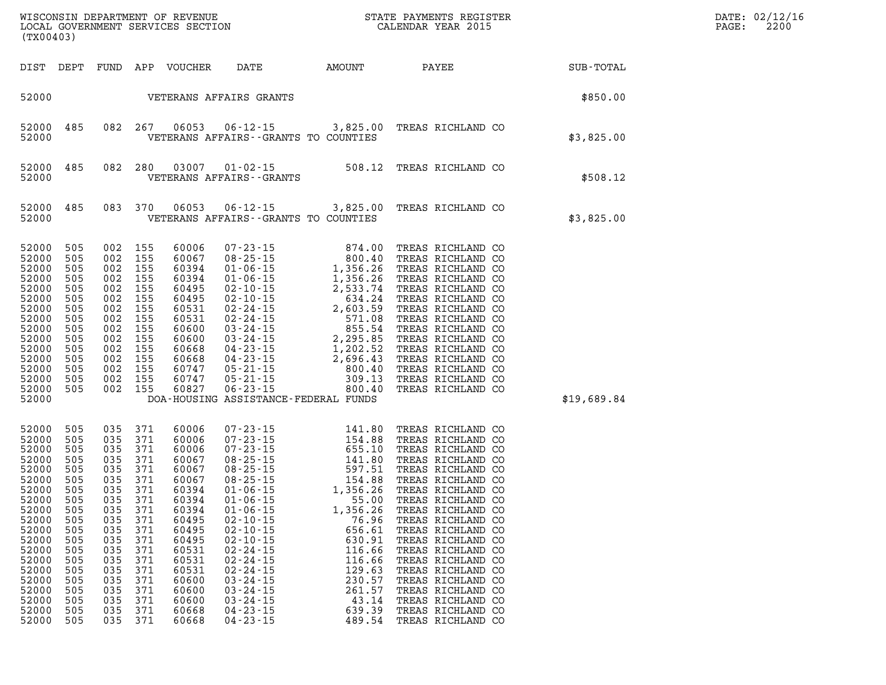| (TX00403)                                                                                                                                                                                                                                                                                                           |            |                                                                                                                                                                                                                  |                                                                                                                                                                                  |                                                                                                                                                                                                                                                                                                                                                                                                                                                                                                                                                         |                                                                                                          | WISCONSIN DEPARTMENT OF REVENUE<br>LOCAL GOVERNMENT SERVICES SECTION FOR THE STATE CALENDAR YEAR 2015                                                                                                                                                                                                                                                                                                                                              |             | DATE: 02/12/16<br>PAGE:<br>2200 |
|---------------------------------------------------------------------------------------------------------------------------------------------------------------------------------------------------------------------------------------------------------------------------------------------------------------------|------------|------------------------------------------------------------------------------------------------------------------------------------------------------------------------------------------------------------------|----------------------------------------------------------------------------------------------------------------------------------------------------------------------------------|---------------------------------------------------------------------------------------------------------------------------------------------------------------------------------------------------------------------------------------------------------------------------------------------------------------------------------------------------------------------------------------------------------------------------------------------------------------------------------------------------------------------------------------------------------|----------------------------------------------------------------------------------------------------------|----------------------------------------------------------------------------------------------------------------------------------------------------------------------------------------------------------------------------------------------------------------------------------------------------------------------------------------------------------------------------------------------------------------------------------------------------|-------------|---------------------------------|
| DIST DEPT                                                                                                                                                                                                                                                                                                           |            |                                                                                                                                                                                                                  |                                                                                                                                                                                  |                                                                                                                                                                                                                                                                                                                                                                                                                                                                                                                                                         |                                                                                                          | ${\tt FUND} \hspace{6.3cm} {\tt APP} \hspace{6.3cm} {\tt VOUCHER} \hspace{6.3cm} {\tt DATE} \hspace{1.3cm} {\tt AMOUNT} \hspace{1.3cm} {\tt PAYEE} \hspace{1.3cm} {\tt SUB-TOTAL}$                                                                                                                                                                                                                                                                 |             |                                 |
|                                                                                                                                                                                                                                                                                                                     |            |                                                                                                                                                                                                                  |                                                                                                                                                                                  | 52000    VETERANS AFFAIRS GRANTS                                                                                                                                                                                                                                                                                                                                                                                                                                                                                                                        |                                                                                                          |                                                                                                                                                                                                                                                                                                                                                                                                                                                    | \$850.00    |                                 |
| 52000<br>485<br>52000                                                                                                                                                                                                                                                                                               |            |                                                                                                                                                                                                                  | 082 267 06053                                                                                                                                                                    | VETERANS AFFAIRS -- GRANTS TO COUNTIES                                                                                                                                                                                                                                                                                                                                                                                                                                                                                                                  |                                                                                                          | 06-12-15 3,825.00 TREAS RICHLAND CO                                                                                                                                                                                                                                                                                                                                                                                                                | \$3,825.00  |                                 |
| 52000<br>485<br>52000                                                                                                                                                                                                                                                                                               |            |                                                                                                                                                                                                                  | 082 280 03007                                                                                                                                                                    |                                                                                                                                                                                                                                                                                                                                                                                                                                                                                                                                                         |                                                                                                          |                                                                                                                                                                                                                                                                                                                                                                                                                                                    | \$508.12    |                                 |
| 52000<br>485<br>52000                                                                                                                                                                                                                                                                                               |            |                                                                                                                                                                                                                  | 083 370 06053                                                                                                                                                                    | VETERANS AFFAIRS -- GRANTS TO COUNTIES                                                                                                                                                                                                                                                                                                                                                                                                                                                                                                                  |                                                                                                          | 06-12-15 3,825.00 TREAS RICHLAND CO                                                                                                                                                                                                                                                                                                                                                                                                                | \$3,825.00  |                                 |
| 52000<br>505<br>52000<br>505<br>52000<br>505<br>52000<br>505<br>52000<br>505<br>52000<br>505<br>52000<br>505<br>52000<br>505<br>52000<br>505<br>52000<br>505<br>52000<br>505<br>52000<br>505<br>52000<br>505<br>52000 505<br>52000 505<br>52000                                                                     |            | 002 155<br>002 155<br>002 155<br>002 155<br>002 155<br>002 155<br>002 155<br>002 155<br>002 155<br>002 155<br>002 155<br>002 155<br>002 155<br>002 155                                                           | 002 155 60827                                                                                                                                                                    | DOA-HOUSING ASSISTANCE-FEDERAL FUNDS                                                                                                                                                                                                                                                                                                                                                                                                                                                                                                                    |                                                                                                          |                                                                                                                                                                                                                                                                                                                                                                                                                                                    | \$19,689.84 |                                 |
| 52000<br>505<br>52000<br>505<br>52000<br>505<br>52000<br>505<br>52000<br>505<br>52000<br>505<br>52000<br>505<br>52000 505<br>52000 505<br>52000<br>505<br>52000<br>505<br>52000<br>505<br>52000<br>505<br>52000<br>505<br>52000<br>505<br>52000<br>505<br>52000<br>505<br>52000<br>505<br>52000<br>505<br>52000 505 | 035<br>035 | 035 371<br>035 371<br>035 371<br>035 371<br>035 371<br>035 371<br>035 371<br>035 371<br>035 371<br>371<br>035 371<br>371<br>035 371<br>035 371<br>035 371<br>035 371<br>035 371<br>035 371<br>035 371<br>035 371 | 60006<br>60006<br>60006<br>60067<br>60067<br>60067<br>60394<br>60394<br>60394<br>60495<br>60495<br>60495<br>60531<br>60531<br>60531<br>60600<br>60600<br>60600<br>60668<br>60668 | $\begin{array}{llll} 07\texttt{-}23\texttt{-}15 & 141.80 \\ 07\texttt{-}23\texttt{-}15 & 154.88 \\ 07\texttt{-}23\texttt{-}15 & 655.10 \\ 08\texttt{-}25\texttt{-}15 & 141.80 \\ 08\texttt{-}25\texttt{-}15 & 140.80 \\ 08\texttt{-}25\texttt{-}15 & 154.88 \\ 01\texttt{-}06\texttt{-}15 & 1,356.26 \\ 01\texttt{-}06\texttt{-}15 & 1,356.26 \\$<br>$02 - 10 - 15$<br>$02 - 10 - 15$<br>$02 - 10 - 15$<br>$02 - 24 - 15$<br>$02 - 24 - 15$<br>$02 - 24 - 15$<br>$03 - 24 - 15$<br>$03 - 24 - 15$<br>$03 - 24 - 15$<br>$04 - 23 - 15$<br>$04 - 23 - 15$ | 76.96<br>656.61<br>630.91<br>116.66<br>116.66<br>129.63<br>230.57<br>261.57<br>43.14<br>639.39<br>489.54 | TREAS RICHLAND CO<br>TREAS RICHLAND CO<br>TREAS RICHLAND CO<br>TREAS RICHLAND CO<br>TREAS RICHLAND CO<br>TREAS RICHLAND CO<br>TREAS RICHLAND CO<br>TREAS RICHLAND CO<br>01-06-15 1,356.26 TREAS RICHLAND CO<br>TREAS RICHLAND CO<br>TREAS RICHLAND CO<br>TREAS RICHLAND CO<br>TREAS RICHLAND CO<br>TREAS RICHLAND CO<br>TREAS RICHLAND CO<br>TREAS RICHLAND CO<br>TREAS RICHLAND CO<br>TREAS RICHLAND CO<br>TREAS RICHLAND CO<br>TREAS RICHLAND CO |             |                                 |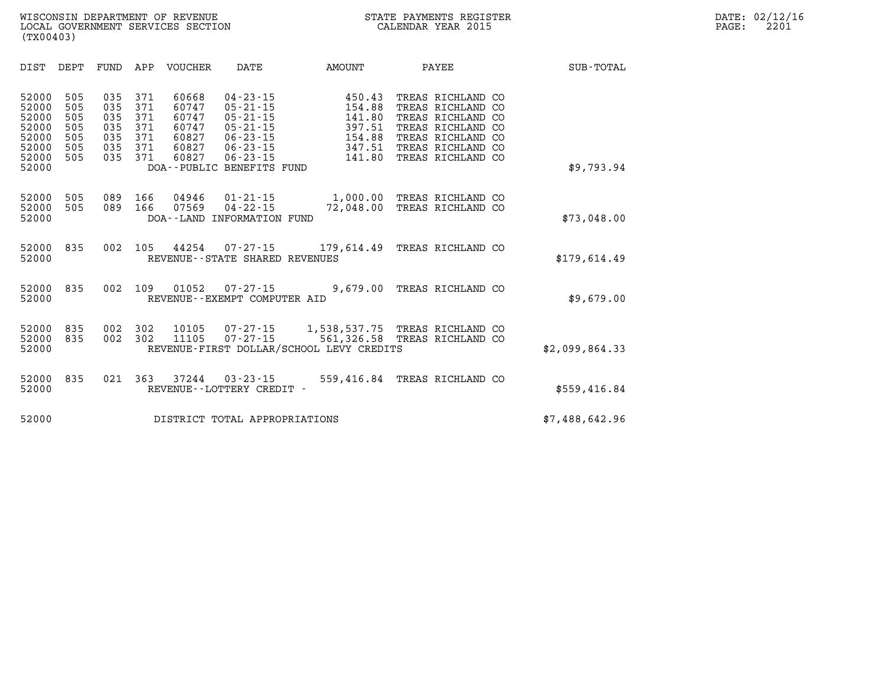| <b>SUB-TOTAL</b> |                                                       | PAYEE                                                                                                                         | AMOUNT                                                                 | DATE                                                                                                                                                    | <b>VOUCHER</b>                                              | APP                                           | FUND                                          | DEPT                                          | DIST                                                                 |
|------------------|-------------------------------------------------------|-------------------------------------------------------------------------------------------------------------------------------|------------------------------------------------------------------------|---------------------------------------------------------------------------------------------------------------------------------------------------------|-------------------------------------------------------------|-----------------------------------------------|-----------------------------------------------|-----------------------------------------------|----------------------------------------------------------------------|
| \$9,793.94       | CO<br>CO<br><b>CO</b><br><b>CO</b><br><b>CO</b><br>CO | TREAS RICHLAND<br>TREAS RICHLAND<br>TREAS RICHLAND<br>TREAS RICHLAND<br>TREAS RICHLAND<br>TREAS RICHLAND<br>TREAS RICHLAND CO | 450.43<br>154.88<br>141.80<br>397.51<br>154.88<br>347.51<br>141.80     | $04 - 23 - 15$<br>$05 - 21 - 15$<br>$05 - 21 - 15$<br>$05 - 21 - 15$<br>$06 - 23 - 15$<br>$06 - 23 - 15$<br>$06 - 23 - 15$<br>DOA--PUBLIC BENEFITS FUND | 60668<br>60747<br>60747<br>60747<br>60827<br>60827<br>60827 | 371<br>371<br>371<br>371<br>371<br>371<br>371 | 035<br>035<br>035<br>035<br>035<br>035<br>035 | 505<br>505<br>505<br>505<br>505<br>505<br>505 | 52000<br>52000<br>52000<br>52000<br>52000<br>52000<br>52000<br>52000 |
| \$73,048.00      |                                                       | TREAS RICHLAND CO<br>TREAS RICHLAND CO                                                                                        | 1,000.00<br>72,048.00                                                  | $01 - 21 - 15$<br>$04 - 22 - 15$<br>INFORMATION FUND                                                                                                    | 04946<br>07569<br>DOA - - LAND                              | 166<br>166                                    | 089<br>089                                    | 505<br>505                                    | 52000<br>52000<br>52000                                              |
| \$179,614.49     |                                                       | TREAS RICHLAND CO                                                                                                             | $07 - 27 - 15$ 179,614.49                                              | REVENUE - - STATE SHARED REVENUES                                                                                                                       | 44254                                                       | 105                                           | 002                                           | 835                                           | 52000<br>52000                                                       |
| \$9,679.00       |                                                       | TREAS RICHLAND CO                                                                                                             | 9,679.00                                                               | $07 - 27 - 15$<br>REVENUE--EXEMPT COMPUTER AID                                                                                                          | 01052                                                       | 109                                           | 002                                           | 835                                           | 52000<br>52000                                                       |
| \$2,099,864.33   |                                                       | TREAS RICHLAND CO<br>TREAS RICHLAND CO                                                                                        | 1,538,537.75<br>561,326.58<br>REVENUE-FIRST DOLLAR/SCHOOL LEVY CREDITS | $07 - 27 - 15$<br>$07 - 27 - 15$                                                                                                                        | 10105<br>11105                                              | 302<br>302                                    | 002<br>002                                    | 835<br>835                                    | 52000<br>52000<br>52000                                              |
| \$559,416.84     |                                                       | TREAS RICHLAND CO                                                                                                             | 559,416.84                                                             | $03 - 23 - 15$<br>REVENUE--LOTTERY CREDIT -                                                                                                             | 37244                                                       | 363                                           | 021                                           | 835                                           | 52000<br>52000                                                       |
| \$7,488,642.96   |                                                       |                                                                                                                               |                                                                        | DISTRICT TOTAL APPROPRIATIONS                                                                                                                           |                                                             |                                               |                                               |                                               | 52000                                                                |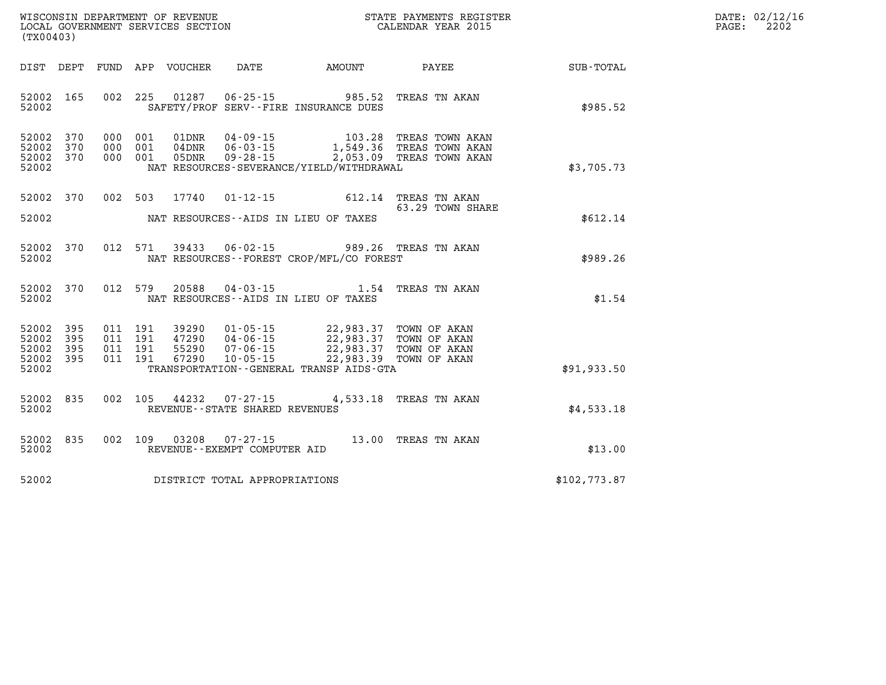| $\mathtt{DATE}$ : | 02/12/16 |
|-------------------|----------|
| $\mathtt{PAGE}$ : | 2202     |

| (TX00403)                                 |                          |                          |                          |                                      |                                                                      |                                                                                     |                                                                        |              |
|-------------------------------------------|--------------------------|--------------------------|--------------------------|--------------------------------------|----------------------------------------------------------------------|-------------------------------------------------------------------------------------|------------------------------------------------------------------------|--------------|
| DIST                                      | DEPT                     | FUND                     |                          | APP VOUCHER                          | DATE                                                                 | AMOUNT                                                                              | PAYEE                                                                  | SUB-TOTAL    |
| 52002<br>52002                            | 165                      | 002                      | 225                      | 01287                                | $06 - 25 - 15$                                                       | 985.52<br>SAFETY/PROF SERV--FIRE INSURANCE DUES                                     | TREAS TN AKAN                                                          | \$985.52     |
| 52002<br>52002<br>52002<br>52002          | 370<br>370<br>370        | 000<br>000<br>000        | 001<br>001<br>001        | 01DNR<br>$04\,\mathrm{DNR}$<br>05DNR | $04 - 09 - 15$<br>$06 - 03 - 15$<br>$09 - 28 - 15$                   | 103.28<br>2,053.09<br>NAT RESOURCES-SEVERANCE/YIELD/WITHDRAWAL                      | TREAS TOWN AKAN<br>1,549.36 TREAS TOWN AKAN<br>TREAS TOWN AKAN         | \$3,705.73   |
| 52002                                     | 370                      | 002                      | 503                      | 17740                                | $01 - 12 - 15$                                                       | 612.14                                                                              | TREAS TN AKAN                                                          |              |
| 52002                                     |                          |                          |                          |                                      |                                                                      | NAT RESOURCES -- AIDS IN LIEU OF TAXES                                              | 63.29 TOWN SHARE                                                       | \$612.14     |
| 52002<br>52002                            | 370                      | 012                      | 571                      | 39433                                | 06-02-15                                                             | NAT RESOURCES - - FOREST CROP/MFL/CO FOREST                                         | 989.26 TREAS TN AKAN                                                   | \$989.26     |
| 52002<br>52002                            | 370                      | 012                      | 579                      | 20588                                | $04 - 03 - 15$                                                       | 1.54<br>NAT RESOURCES -- AIDS IN LIEU OF TAXES                                      | TREAS TN AKAN                                                          | \$1.54       |
| 52002<br>52002<br>52002<br>52002<br>52002 | 395<br>395<br>395<br>395 | 011<br>011<br>011<br>011 | 191<br>191<br>191<br>191 | 39290<br>47290<br>55290<br>67290     | $01 - 05 - 15$<br>$04 - 06 - 15$<br>$07 - 06 - 15$<br>$10 - 05 - 15$ | 22,983.37<br>22,983.37<br>22,983.39<br>TRANSPORTATION - - GENERAL TRANSP AIDS - GTA | 22,983.37 TOWN OF AKAN<br>TOWN OF AKAN<br>TOWN OF AKAN<br>TOWN OF AKAN | \$91,933.50  |
| 52002<br>52002                            | 835                      | 002                      | 105                      | 44232                                | $07 - 27 - 15$<br>REVENUE - - STATE SHARED REVENUES                  | 4,533.18                                                                            | TREAS TN AKAN                                                          | \$4,533.18   |
| 52002<br>52002                            | 835                      | 002                      | 109                      | 03208                                | $07 - 27 - 15$<br>REVENUE--EXEMPT COMPUTER AID                       | 13.00                                                                               | TREAS TN AKAN                                                          | \$13.00      |
| 52002                                     |                          |                          |                          |                                      | DISTRICT TOTAL APPROPRIATIONS                                        |                                                                                     |                                                                        | \$102,773.87 |

WISCONSIN DEPARTMENT OF REVENUE **STATE PAYMENTS REGISTER**<br>LOCAL GOVERNMENT SERVICES SECTION

LOCAL GOVERNMENT SERVICES SECTION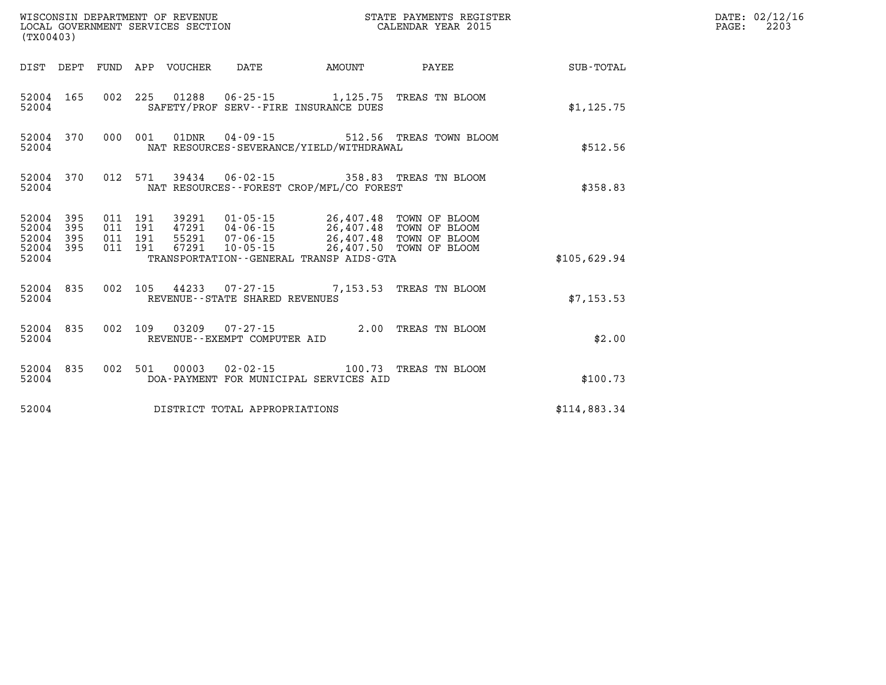| (TX00403)          |                                     |  |                                 | WISCONSIN DEPARTMENT OF REVENUE<br>LOCAL GOVERNMENT SERVICES SECTION | STATE PAYMENTS REGISTER<br>CALENDAR YEAR 2015                                                                                                                                                                                                                                                                                                                      |                                                          | DATE: 02/12/16<br>PAGE:<br>2203 |  |
|--------------------|-------------------------------------|--|---------------------------------|----------------------------------------------------------------------|--------------------------------------------------------------------------------------------------------------------------------------------------------------------------------------------------------------------------------------------------------------------------------------------------------------------------------------------------------------------|----------------------------------------------------------|---------------------------------|--|
|                    |                                     |  | DIST DEPT FUND APP VOUCHER DATE |                                                                      | AMOUNT                                                                                                                                                                                                                                                                                                                                                             | PAYEE                                                    | SUB-TOTAL                       |  |
| 52004              | 52004 165                           |  |                                 |                                                                      | SAFETY/PROF SERV--FIRE INSURANCE DUES                                                                                                                                                                                                                                                                                                                              | 002 225 01288 06-25-15 1,125.75 TREAS TN BLOOM           | \$1,125.75                      |  |
| 52004              |                                     |  |                                 |                                                                      | NAT RESOURCES-SEVERANCE/YIELD/WITHDRAWAL                                                                                                                                                                                                                                                                                                                           | 52004 370 000 001 01DNR 04-09-15 512.56 TREAS TOWN BLOOM | \$512.56                        |  |
| 52004              | 52004 370                           |  |                                 |                                                                      | NAT RESOURCES - - FOREST CROP/MFL/CO FOREST                                                                                                                                                                                                                                                                                                                        | 012 571 39434 06-02-15 358.83 TREAS TN BLOOM             | \$358.83                        |  |
| 52004 395<br>52004 | 52004 395<br>52004 395<br>52004 395 |  |                                 |                                                                      | $\begin{array}{cccc} 011 & 191 & 39291 & 01\cdot 05\cdot 15 & 26,407.48 & \text{TOWN OF BLOOM} \\ 011 & 191 & 47291 & 04\cdot 06\cdot 15 & 26,407.48 & \text{TOWN OF BLOOM} \\ 011 & 191 & 55291 & 07\cdot 06\cdot 15 & 26,407.48 & \text{TOWN OF BLOOM} \end{array}$<br>011 191 67291 10-05-15 26,407.50 TOWN OF BLOOM<br>TRANSPORTATION--GENERAL TRANSP AIDS-GTA |                                                          | \$105,629.94                    |  |
| 52004              | 52004 835                           |  |                                 | REVENUE - - STATE SHARED REVENUES                                    |                                                                                                                                                                                                                                                                                                                                                                    | 002 105 44233 07-27-15 7,153.53 TREAS TN BLOOM           | \$7,153.53                      |  |
| 52004              | 52004 835                           |  |                                 | REVENUE--EXEMPT COMPUTER AID                                         |                                                                                                                                                                                                                                                                                                                                                                    | 002 109 03209 07-27-15 2.00 TREAS TN BLOOM               | \$2.00                          |  |
| 52004              | 52004 835                           |  |                                 |                                                                      | DOA-PAYMENT FOR MUNICIPAL SERVICES AID                                                                                                                                                                                                                                                                                                                             | 002 501 00003 02-02-15 100.73 TREAS TN BLOOM             | \$100.73                        |  |
| 52004              |                                     |  |                                 | DISTRICT TOTAL APPROPRIATIONS                                        |                                                                                                                                                                                                                                                                                                                                                                    |                                                          | \$114,883.34                    |  |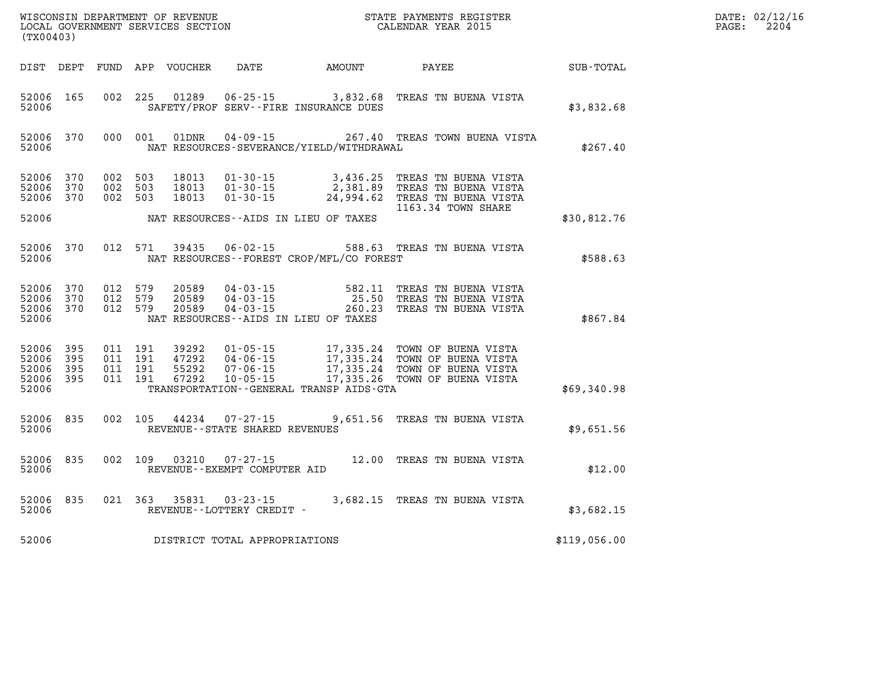| (TX00403)                                     |                         |                                          |         | WISCONSIN DEPARTMENT OF REVENUE<br>LOCAL GOVERNMENT SERVICES SECTION |                                                        |                                                                          | STATE PAYMENTS REGISTER<br>CALENDAR YEAR 2015                                                                                                                                       |              | DATE: 02/12/16<br>2204<br>$\mathtt{PAGE}$ : |
|-----------------------------------------------|-------------------------|------------------------------------------|---------|----------------------------------------------------------------------|--------------------------------------------------------|--------------------------------------------------------------------------|-------------------------------------------------------------------------------------------------------------------------------------------------------------------------------------|--------------|---------------------------------------------|
|                                               |                         |                                          |         | DIST DEPT FUND APP VOUCHER                                           | DATE                                                   | AMOUNT                                                                   | PAYEE                                                                                                                                                                               | SUB-TOTAL    |                                             |
| 52006 165<br>52006                            |                         |                                          |         |                                                                      |                                                        | 002 225 01289 06-25-15 3,832.68<br>SAFETY/PROF SERV--FIRE INSURANCE DUES | TREAS TN BUENA VISTA                                                                                                                                                                | \$3,832.68   |                                             |
| 52006                                         | 52006 370               |                                          | 000 001 | 01DNR                                                                | $04 - 09 - 15$                                         | NAT RESOURCES-SEVERANCE/YIELD/WITHDRAWAL                                 | 267.40 TREAS TOWN BUENA VISTA                                                                                                                                                       | \$267.40     |                                             |
| 52006 370<br>52006<br>52006                   | 370<br>370              | 002 503<br>002 503<br>002 503            |         | 18013<br>18013<br>18013                                              | $01 - 30 - 15$<br>$01 - 30 - 15$                       |                                                                          | 01-30-15 3,436.25 TREAS TN BUENA VISTA<br>2,381.89 TREAS TN BUENA VISTA<br>24,994.62 TREAS TN BUENA VISTA<br>1163.34 TOWN SHARE                                                     |              |                                             |
| 52006                                         |                         |                                          |         |                                                                      |                                                        | NAT RESOURCES--AIDS IN LIEU OF TAXES                                     |                                                                                                                                                                                     | \$30,812.76  |                                             |
| 52006                                         | 52006 370               | 012 571                                  |         | 39435                                                                |                                                        | NAT RESOURCES - - FOREST CROP/MFL/CO FOREST                              | 06-02-15 588.63 TREAS TN BUENA VISTA                                                                                                                                                | \$588.63     |                                             |
| 52006<br>52006<br>52006                       | 52006 370<br>370<br>370 | 012 579<br>012 579<br>012 579            |         | 20589<br>20589<br>20589                                              |                                                        | NAT RESOURCES--AIDS IN LIEU OF TAXES                                     | 04-03-15 582.11 TREAS TN BUENA VISTA<br>04-03-15 25.50 TREAS TN BUENA VISTA<br>04-03-15 260.23 TREAS TN BUENA VISTA                                                                 | \$867.84     |                                             |
| 52006 395<br>52006<br>52006<br>52006<br>52006 | 395<br>395<br>- 395     | 011 191<br>011 191<br>011 191<br>011 191 |         | 39292<br>55292<br>67292                                              | $47292$ 04-06-15<br>07-06-15<br>$10 - 05 - 15$         | TRANSPORTATION--GENERAL TRANSP AIDS-GTA                                  | 01-05-15 17,335.24 TOWN OF BUENA VISTA<br>04-06-15 17,335.24 TOWN OF BUENA VISTA<br>17,335.24 TOWN OF BUENA VISTA<br>17,335.26 TOWN OF BUENA VISTA<br>17,335.26 TOWN OF BUENA VISTA | \$69,340.98  |                                             |
| 52006 835<br>52006                            |                         | 002 105                                  |         |                                                                      | REVENUE - - STATE SHARED REVENUES                      |                                                                          | 44234 07-27-15 9,651.56 TREAS TN BUENA VISTA                                                                                                                                        | \$9,651.56   |                                             |
| 52006                                         | 52006 835               |                                          |         |                                                                      | 002 109 03210 07-27-15<br>REVENUE--EXEMPT COMPUTER AID |                                                                          | 12.00 TREAS TN BUENA VISTA                                                                                                                                                          | \$12.00      |                                             |
| 52006                                         | 52006 835               |                                          |         |                                                                      | 021 363 35831 03-23-15<br>REVENUE--LOTTERY CREDIT -    |                                                                          | 3,682.15 TREAS TN BUENA VISTA                                                                                                                                                       | \$3,682.15   |                                             |
| 52006                                         |                         |                                          |         |                                                                      | DISTRICT TOTAL APPROPRIATIONS                          |                                                                          |                                                                                                                                                                                     | \$119,056.00 |                                             |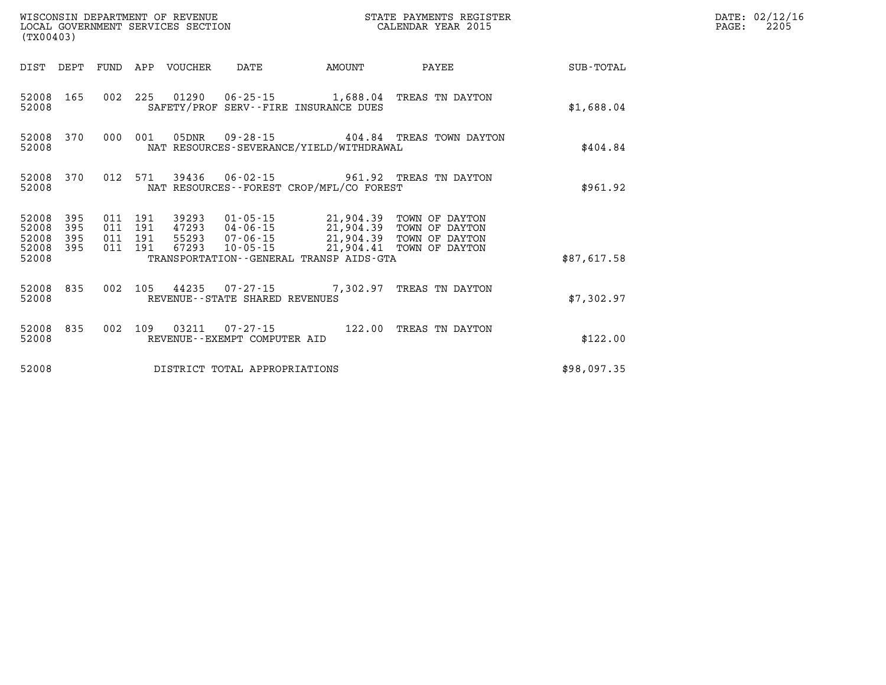| (TX00403)                              |                   |                               |     |                            | WINGNOTE DEFARTMENT OF REVENUE<br>LOCAL GOVERNMENT SERVICES SECTION<br>(TX00403) | STATE PAYMENTS REGISTER<br>CALENDAR YEAR 2015 |                                                                                                                                                 |             | DATE: 02/12/16<br>2205<br>$\mathtt{PAGE:}$ |
|----------------------------------------|-------------------|-------------------------------|-----|----------------------------|----------------------------------------------------------------------------------|-----------------------------------------------|-------------------------------------------------------------------------------------------------------------------------------------------------|-------------|--------------------------------------------|
|                                        |                   |                               |     | DIST DEPT FUND APP VOUCHER | DATE                                                                             | <b>AMOUNT</b>                                 | PAYEE                                                                                                                                           | SUB-TOTAL   |                                            |
| 52008 165<br>52008                     |                   |                               |     |                            |                                                                                  | SAFETY/PROF SERV--FIRE INSURANCE DUES         | 002 225 01290 06-25-15 1,688.04 TREAS TN DAYTON                                                                                                 | \$1,688.04  |                                            |
| 52008 370<br>52008                     |                   | 000 001                       |     | 05DNR                      |                                                                                  | NAT RESOURCES-SEVERANCE/YIELD/WITHDRAWAL      | 09-28-15   404.84 TREAS TOWN DAYTON                                                                                                             | \$404.84    |                                            |
| 52008 370<br>52008                     |                   |                               |     |                            |                                                                                  | NAT RESOURCES - - FOREST CROP/MFL/CO FOREST   | 012 571 39436 06-02-15 961.92 TREAS TN DAYTON                                                                                                   | \$961.92    |                                            |
| 52008<br>52008<br>52008                | 395<br>395<br>395 | 011 191<br>011 191<br>011 191 |     |                            |                                                                                  |                                               | 39293 01-05-15 21,904.39 TOWN OF DAYTON<br>47293 04-06-15<br>55293 07-06-15 21,904.39 TOWN OF DAYTON<br>67293 10-05-15 21,904.41 TOWN OF DAYTON |             |                                            |
| 52008 395<br>52008                     |                   | 011 191                       |     |                            |                                                                                  | TRANSPORTATION--GENERAL TRANSP AIDS-GTA       |                                                                                                                                                 | \$87,617.58 |                                            |
| 52008 835<br>52008                     |                   | 002                           |     |                            | REVENUE - - STATE SHARED REVENUES                                                |                                               | 105 44235 07-27-15 7,302.97 TREAS TN DAYTON                                                                                                     | \$7,302.97  |                                            |
| 52008 835<br>52008                     |                   | 002                           | 109 |                            | 03211  07-27-15<br>REVENUE--EXEMPT COMPUTER AID                                  |                                               | 122.00 TREAS TN DAYTON                                                                                                                          | \$122.00    |                                            |
| 52008<br>DISTRICT TOTAL APPROPRIATIONS |                   |                               |     |                            |                                                                                  | \$98,097.35                                   |                                                                                                                                                 |             |                                            |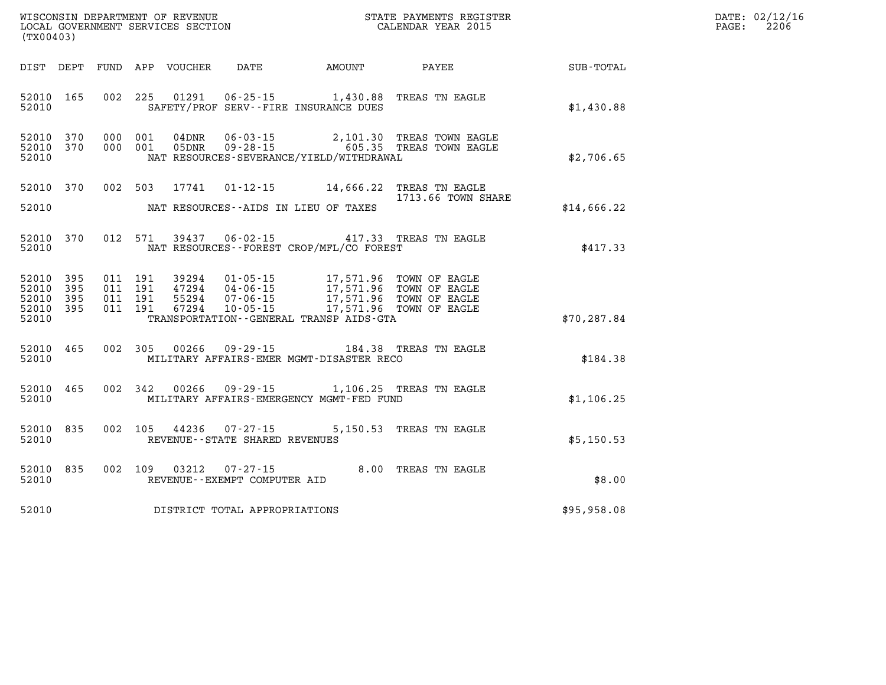| (TX00403)                                    |           |  |                                                                             |                                                                                                            |                                                                                                                        | WISCONSIN DEPARTMENT OF REVENUE<br>LOCAL GOVERNMENT SERVICES SECTION<br>CALENDAR YEAR 2015 | DATE: 02/12/16<br>PAGE: 2206 |
|----------------------------------------------|-----------|--|-----------------------------------------------------------------------------|------------------------------------------------------------------------------------------------------------|------------------------------------------------------------------------------------------------------------------------|--------------------------------------------------------------------------------------------|------------------------------|
|                                              |           |  |                                                                             |                                                                                                            |                                                                                                                        | DIST DEPT FUND APP VOUCHER DATE AMOUNT PAYEE PATE SUB-TOTAL                                |                              |
|                                              |           |  |                                                                             | 52010 103 002 223<br>SAFETY/PROF SERV--FIRE INSURANCE DUES                                                 | 52010 165 002 225 01291 06-25-15 1,430.88 TREAS TN EAGLE                                                               | \$1,430.88                                                                                 |                              |
| 52010                                        |           |  |                                                                             | NAT RESOURCES-SEVERANCE/YIELD/WITHDRAWAL                                                                   | 52010 370 000 001 04DNR 06-03-15 2,101.30 TREAS TOWN EAGLE<br>52010 370 000 001 05DNR 09-28-15 605.35 TREAS TOWN EAGLE | \$2,706.65                                                                                 |                              |
|                                              |           |  |                                                                             | 52010 370 002 503 17741 01-12-15 14,666.22 TREAS TN EAGLE<br>52010 NAT RESOURCES--AIDS IN LIEU OF TAXES    | 1713.66 TOWN SHARE                                                                                                     | \$14,666.22                                                                                |                              |
| 52010                                        |           |  |                                                                             | 52010 370 012 571 39437 06-02-15 417.33 TREAS TN EAGLE<br>NAT RESOURCES--FOREST CROP/MFL/CO FOREST         |                                                                                                                        | \$417.33                                                                                   |                              |
| 52010 395<br>52010 395<br>52010 395<br>52010 | 52010 395 |  |                                                                             | TRANSPORTATION - - GENERAL TRANSP AIDS - GTA                                                               |                                                                                                                        | \$70, 287.84                                                                               |                              |
|                                              |           |  |                                                                             | 52010 MILITARY AFFAIRS-EMER MGMT-DISASTER RECO                                                             | 52010 465 002 305 00266 09-29-15 184.38 TREAS TN EAGLE                                                                 | \$184.38                                                                                   |                              |
|                                              |           |  |                                                                             | 52010 465 002 342 00266 09-29-15 1,106.25 TREAS TN EAGLE<br>52010 MILITARY AFFAIRS-EMERGENCY MGMT-FED FUND |                                                                                                                        | \$1,106.25                                                                                 |                              |
|                                              |           |  | 52010 835 002 105 44236 07-27-15<br>52010 REVENUE - - STATE SHARED REVENUES |                                                                                                            | 5,150.53 TREAS TN EAGLE                                                                                                | \$5,150.53                                                                                 |                              |
|                                              |           |  | 52010 REVENUE - EXEMPT COMPUTER AID                                         | 52010 835 002 109 03212 07-27-15 8.00 TREAS TN EAGLE                                                       |                                                                                                                        | \$8.00                                                                                     |                              |

**52010 DISTRICT TOTAL APPROPRIATIONS \$95,958.08**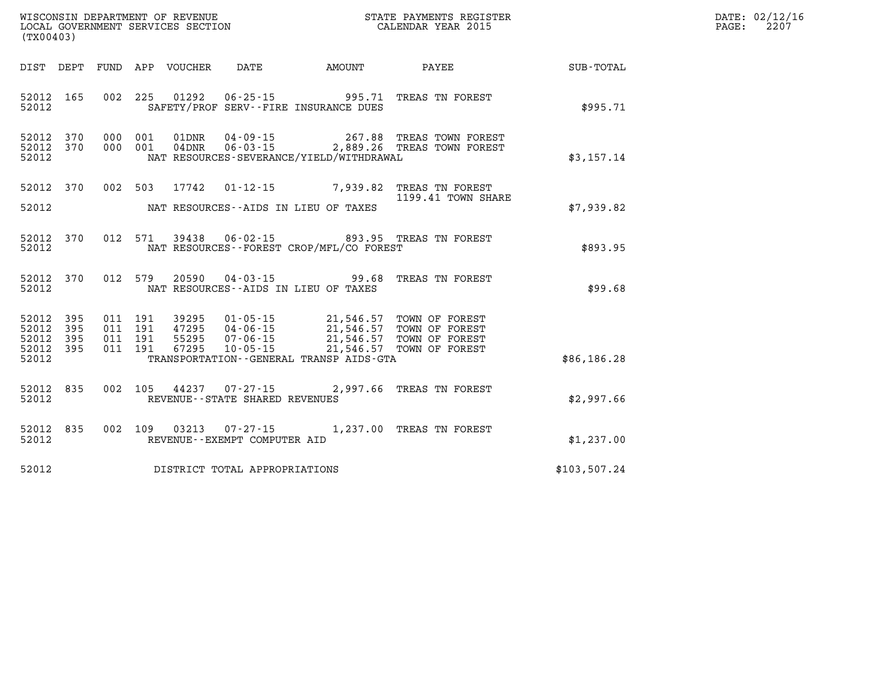| WISCONSIN DEPARTMENT OF REVENUE      | PAYMENTS REGISTER<br>3TATE | DATE: | 02/12/16 |
|--------------------------------------|----------------------------|-------|----------|
| GOVERNMENT SERVICES SECTION<br>LOCAL | CALENDAR YEAR 2015         | PAGE  | 2207     |

| LOCAL GOVERNMENT SERVICES SECTION<br>(TX00403) |  |  |  |                                     |                                          | CALENDAR YEAR 2015                                                                                                                                                                                                                                                                                                                                   | PAGE:        | 2207 |  |
|------------------------------------------------|--|--|--|-------------------------------------|------------------------------------------|------------------------------------------------------------------------------------------------------------------------------------------------------------------------------------------------------------------------------------------------------------------------------------------------------------------------------------------------------|--------------|------|--|
|                                                |  |  |  |                                     |                                          | DIST DEPT FUND APP VOUCHER DATE AMOUNT PAYEE SUB-TOTAL                                                                                                                                                                                                                                                                                               |              |      |  |
| 52012 165<br>52012                             |  |  |  |                                     | SAFETY/PROF SERV--FIRE INSURANCE DUES    | 002 225 01292 06-25-15 995.71 TREAS TN FOREST                                                                                                                                                                                                                                                                                                        | \$995.71     |      |  |
|                                                |  |  |  |                                     |                                          |                                                                                                                                                                                                                                                                                                                                                      |              |      |  |
| 52012 370<br>52012 370<br>52012                |  |  |  |                                     | NAT RESOURCES-SEVERANCE/YIELD/WITHDRAWAL | 000 001 01DNR 04-09-15 267.88 TREAS TOWN FOREST<br>000 001 04DNR 06-03-15 2,889.26 TREAS TOWN FOREST                                                                                                                                                                                                                                                 | \$3,157.14   |      |  |
|                                                |  |  |  |                                     |                                          | 52012 370 002 503 17742 01-12-15 7,939.82 TREAS TN FOREST<br>1199.41 TOWN SHARE                                                                                                                                                                                                                                                                      |              |      |  |
| 52012                                          |  |  |  |                                     | NAT RESOURCES--AIDS IN LIEU OF TAXES     |                                                                                                                                                                                                                                                                                                                                                      | \$7,939.82   |      |  |
| 52012 370<br>52012                             |  |  |  |                                     | NAT RESOURCES--FOREST CROP/MFL/CO FOREST | 012 571 39438 06-02-15 893.95 TREAS TN FOREST                                                                                                                                                                                                                                                                                                        | \$893.95     |      |  |
| 52012                                          |  |  |  |                                     | NAT RESOURCES--AIDS IN LIEU OF TAXES     | 52012 370 012 579 20590 04-03-15 99.68 TREAS TN FOREST                                                                                                                                                                                                                                                                                               | \$99.68      |      |  |
| 52012 395<br>52012 395                         |  |  |  |                                     |                                          | $\begin{array}{cccc} 011 & 191 & 39295 & 01\texttt{-}05\texttt{-}15 & 21,546.57 & \texttt{TOWN OF FOREST} \\ 011 & 191 & 47295 & 04\texttt{-}06\texttt{-}15 & 21,546.57 & \texttt{TOWN OF FOREST} \\ 011 & 191 & 55295 & 07\texttt{-}06\texttt{-}15 & 21,546.57 & \texttt{TOWN OF FOREST} \\ 011 & 191 & 67295 & 10\texttt{-}05\texttt{-}15 & 21,54$ |              |      |  |
| 52012 395<br>52012 395<br>52012                |  |  |  |                                     | TRANSPORTATION--GENERAL TRANSP AIDS-GTA  |                                                                                                                                                                                                                                                                                                                                                      | \$86,186.28  |      |  |
| 52012 835<br>52012                             |  |  |  | REVENUE--STATE SHARED REVENUES      |                                          | 002 105 44237 07-27-15 2,997.66 TREAS TN FOREST                                                                                                                                                                                                                                                                                                      | \$2,997.66   |      |  |
| 52012 2003                                     |  |  |  | REVENUE--EXEMPT COMPUTER AID        |                                          | 52012 835 002 109 03213 07-27-15 1,237.00 TREAS TN FOREST                                                                                                                                                                                                                                                                                            | \$1,237.00   |      |  |
|                                                |  |  |  | 52012 DISTRICT TOTAL APPROPRIATIONS |                                          |                                                                                                                                                                                                                                                                                                                                                      | \$103,507.24 |      |  |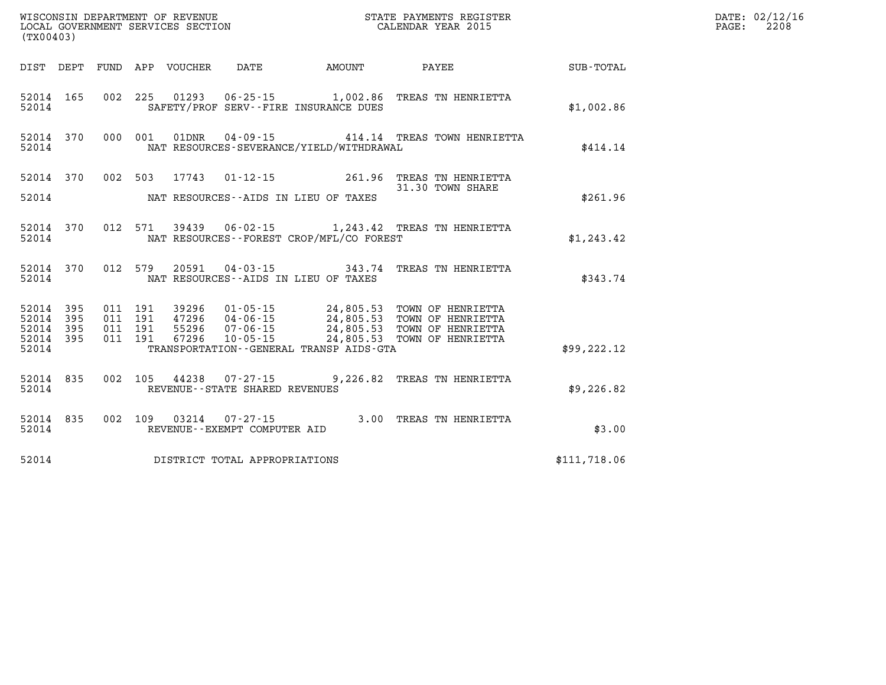| WISCONSIN DEPARTMENT OF REVENUE<br>LOCAL GOVERNMENT SERVICES SECTION THE STATE PAYMENTS REGISTER<br>(TWOO403)<br>(TX00403) |  |  |  |                                       |                                                  |                                                                                                                                                                                                                                         |              | DATE: 02/12/16<br>PAGE: 2208 |
|----------------------------------------------------------------------------------------------------------------------------|--|--|--|---------------------------------------|--------------------------------------------------|-----------------------------------------------------------------------------------------------------------------------------------------------------------------------------------------------------------------------------------------|--------------|------------------------------|
|                                                                                                                            |  |  |  |                                       |                                                  | DIST DEPT FUND APP VOUCHER DATE AMOUNT PAYEE PAYEE SUB-TOTAL                                                                                                                                                                            |              |                              |
|                                                                                                                            |  |  |  |                                       | 52014 SAFETY/PROF SERV--FIRE INSURANCE DUES      | 52014 165 002 225 01293 06-25-15 1,002.86 TREAS TN HENRIETTA                                                                                                                                                                            | \$1,002.86   |                              |
|                                                                                                                            |  |  |  |                                       | 52014 NAT RESOURCES-SEVERANCE/YIELD/WITHDRAWAL   | 52014 370 000 001 01DNR 04-09-15 414.14 TREAS TOWN HENRIETTA                                                                                                                                                                            | \$414.14     |                              |
|                                                                                                                            |  |  |  |                                       |                                                  | 52014 370 002 503 17743 01-12-15 261.96 TREAS TN HENRIETTA<br>31.30 TOWN SHARE<br>31.30 TOWN SHARE                                                                                                                                      |              |                              |
|                                                                                                                            |  |  |  |                                       | 52014 NAT RESOURCES--AIDS IN LIEU OF TAXES       |                                                                                                                                                                                                                                         | \$261.96     |                              |
|                                                                                                                            |  |  |  |                                       | 52014 NAT RESOURCES - FOREST CROP/MFL/CO FOREST  | 52014 370 012 571 39439 06-02-15 1,243.42 TREAS TN HENRIETTA                                                                                                                                                                            | \$1,243.42   |                              |
|                                                                                                                            |  |  |  |                                       | 52014 NAT RESOURCES--AIDS IN LIEU OF TAXES       | 52014 370 012 579 20591 04-03-15 343.74 TREAS TN HENRIETTA                                                                                                                                                                              | \$343.74     |                              |
|                                                                                                                            |  |  |  |                                       |                                                  | 52014 395 011 191 39296 01-05-15 24,805.53 TOWN OF HENRIETTA<br>52014 395 011 191 47296 04-06-15 24,805.53 TOWN OF HENRIETTA<br>52014 395 011 191 55296 07-06-15 24,805.53 TOWN OF HENRIETTA<br>52014 395 011 191 67296 10-05-15 24,805 |              |                              |
|                                                                                                                            |  |  |  |                                       |                                                  |                                                                                                                                                                                                                                         |              |                              |
|                                                                                                                            |  |  |  |                                       | 52014 TRANSPORTATION - GENERAL TRANSP AIDS - GTA |                                                                                                                                                                                                                                         | \$99, 222.12 |                              |
|                                                                                                                            |  |  |  | 52014 REVENUE - STATE SHARED REVENUES |                                                  | 52014 835 002 105 44238 07-27-15 9,226.82 TREAS TN HENRIETTA                                                                                                                                                                            | \$9,226.82   |                              |
| 52014                                                                                                                      |  |  |  | REVENUE - - EXEMPT COMPUTER AID       |                                                  | 52014 835 002 109 03214 07-27-15 3.00 TREAS TN HENRIETTA                                                                                                                                                                                | \$3.00       |                              |
|                                                                                                                            |  |  |  | 52014 DISTRICT TOTAL APPROPRIATIONS   |                                                  |                                                                                                                                                                                                                                         | \$111,718.06 |                              |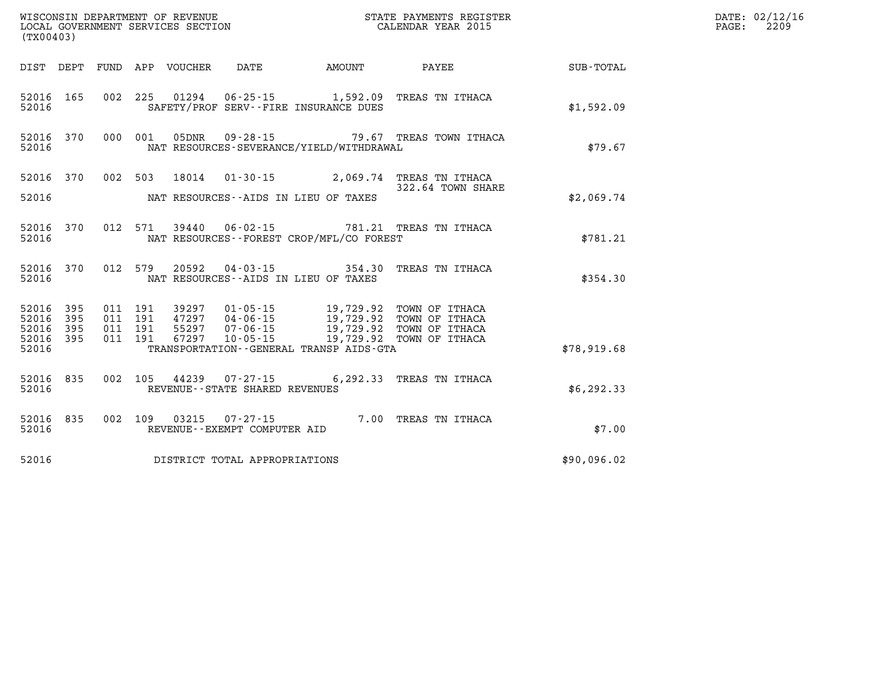| WISCONSIN DEPARTMENT OF REVENUE<br>LOCAL GOVERNMENT SERVICES SECTION<br>CALENDAR YEAR 2015<br>(TX00403) |           |  |  |  |                                       |                                                                                                                                                                                                          |                                                                                |                                                              | DATE: 02/12/16<br>PAGE:<br>2209 |
|---------------------------------------------------------------------------------------------------------|-----------|--|--|--|---------------------------------------|----------------------------------------------------------------------------------------------------------------------------------------------------------------------------------------------------------|--------------------------------------------------------------------------------|--------------------------------------------------------------|---------------------------------|
|                                                                                                         |           |  |  |  |                                       |                                                                                                                                                                                                          |                                                                                | DIST DEPT FUND APP VOUCHER DATE AMOUNT PAYEE PAYER SUB-TOTAL |                                 |
| 52016                                                                                                   |           |  |  |  |                                       | SAFETY/PROF SERV--FIRE INSURANCE DUES                                                                                                                                                                    | 52016 165 002 225 01294 06-25-15 1,592.09 TREAS TN ITHACA                      | \$1,592.09                                                   |                                 |
| 52016                                                                                                   |           |  |  |  |                                       | NAT RESOURCES-SEVERANCE/YIELD/WITHDRAWAL                                                                                                                                                                 | 52016 370 000 001 05DNR 09-28-15 79.67 TREAS TOWN ITHACA                       | \$79.67                                                      |                                 |
|                                                                                                         |           |  |  |  |                                       |                                                                                                                                                                                                          | 52016 370 002 503 18014 01-30-15 2,069.74 TREAS TN ITHACA<br>322.64 TOWN SHARE |                                                              |                                 |
|                                                                                                         |           |  |  |  |                                       | 52016 MAT RESOURCES--AIDS IN LIEU OF TAXES                                                                                                                                                               |                                                                                | \$2,069.74                                                   |                                 |
|                                                                                                         |           |  |  |  |                                       | 52016 MAT RESOURCES - FOREST CROP/MFL/CO FOREST                                                                                                                                                          | 52016 370 012 571 39440 06-02-15 781.21 TREAS TN ITHACA                        | \$781.21                                                     |                                 |
|                                                                                                         |           |  |  |  |                                       | 52016 MAT RESOURCES--AIDS IN LIEU OF TAXES                                                                                                                                                               | 52016 370 012 579 20592 04-03-15 354.30 TREAS TN ITHACA                        | \$354.30                                                     |                                 |
| 52016 395                                                                                               | 52016 395 |  |  |  |                                       | 011 191 39297 01-05-15 19,729.92 TOWN OF ITHACA<br>011 191 47297 04-06-15 19,729.92 TOWN OF ITHACA<br>011 191 55297 07-06-15 19,729.92 TOWN OF ITHACA<br>011 191 67297 10-05-15 19,729.92 TOWN OF ITHACA |                                                                                |                                                              |                                 |
| 52016 395                                                                                               | 52016 395 |  |  |  |                                       |                                                                                                                                                                                                          |                                                                                |                                                              |                                 |
| 52016                                                                                                   |           |  |  |  |                                       | TRANSPORTATION - - GENERAL TRANSP AIDS - GTA                                                                                                                                                             |                                                                                | \$78,919.68                                                  |                                 |
|                                                                                                         |           |  |  |  | 52016 REVENUE - STATE SHARED REVENUES |                                                                                                                                                                                                          | 52016 835 002 105 44239 07-27-15 6,292.33 TREAS TN ITHACA                      | \$6, 292.33                                                  |                                 |
| 52016                                                                                                   |           |  |  |  | REVENUE--EXEMPT COMPUTER AID          |                                                                                                                                                                                                          |                                                                                | \$7.00                                                       |                                 |
|                                                                                                         |           |  |  |  | 52016 DISTRICT TOTAL APPROPRIATIONS   |                                                                                                                                                                                                          |                                                                                | \$90,096.02                                                  |                                 |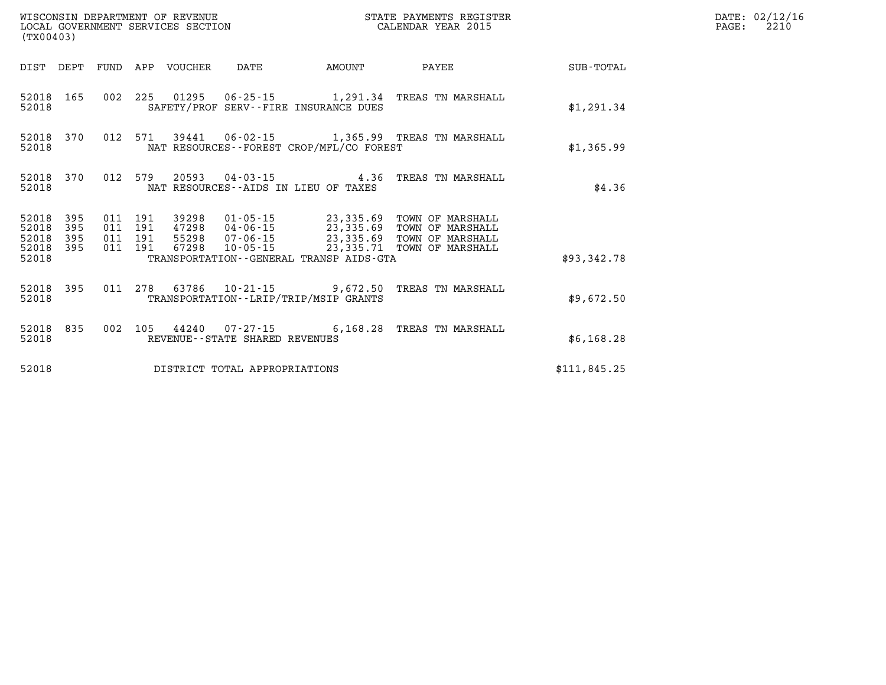| WISCONSIN DEPARTMENT OF REVENUE<br>LOCAL GOVERNMENT SERVICES SECTION<br>(TX00403) |                   |  |  |                                 |                                | STATE PAYMENTS REGISTER<br>CALENDAR YEAR 2015 |                                                                                                                                                                                                                                                                                                                                                      |              | DATE: 02/12/16<br>2210<br>$\mathtt{PAGE:}$ |
|-----------------------------------------------------------------------------------|-------------------|--|--|---------------------------------|--------------------------------|-----------------------------------------------|------------------------------------------------------------------------------------------------------------------------------------------------------------------------------------------------------------------------------------------------------------------------------------------------------------------------------------------------------|--------------|--------------------------------------------|
|                                                                                   |                   |  |  | DIST DEPT FUND APP VOUCHER DATE |                                | <b>AMOUNT</b>                                 | <b>PAYEE</b>                                                                                                                                                                                                                                                                                                                                         | SUB-TOTAL    |                                            |
| 52018 165<br>52018                                                                |                   |  |  |                                 |                                | SAFETY/PROF SERV--FIRE INSURANCE DUES         | 002 225 01295 06-25-15 1,291.34 TREAS TN MARSHALL                                                                                                                                                                                                                                                                                                    | \$1,291.34   |                                            |
| 52018                                                                             | 52018 370         |  |  |                                 |                                | NAT RESOURCES--FOREST CROP/MFL/CO FOREST      | 012 571 39441 06-02-15 1,365.99 TREAS TN MARSHALL                                                                                                                                                                                                                                                                                                    | \$1,365.99   |                                            |
| 52018 370<br>52018                                                                |                   |  |  |                                 |                                | NAT RESOURCES -- AIDS IN LIEU OF TAXES        | 012 579 20593 04-03-15 4.36 TREAS TN MARSHALL                                                                                                                                                                                                                                                                                                        | \$4.36       |                                            |
| 52018<br>52018<br>52018<br>52018 395                                              | 395<br>395<br>395 |  |  |                                 |                                |                                               | $\begin{array}{cccc} 011 & 191 & 39298 & 01\texttt{-}05\texttt{-}15 & 23,335.69 & \texttt{TOWN OF MARSHALL} \\ 011 & 191 & 47298 & 04\texttt{-}06\texttt{-}15 & 23,335.69 & \texttt{TOWN OF MARSHALL} \\ 011 & 191 & 55298 & 07\texttt{-}06\texttt{-}15 & 23,335.69 & \texttt{TOWN OF MARSHALL} \\ 011 & 191 & 67298 & 10\texttt{-}05\texttt{-}15 &$ |              |                                            |
| 52018                                                                             |                   |  |  |                                 |                                | TRANSPORTATION--GENERAL TRANSP AIDS-GTA       |                                                                                                                                                                                                                                                                                                                                                      | \$93,342.78  |                                            |
| 52018                                                                             |                   |  |  |                                 |                                | TRANSPORTATION - - LRIP/TRIP/MSIP GRANTS      | 52018 395 011 278 63786 10-21-15 9,672.50 TREAS TN MARSHALL                                                                                                                                                                                                                                                                                          | \$9,672.50   |                                            |
| 52018                                                                             | 52018 835         |  |  |                                 | REVENUE--STATE SHARED REVENUES |                                               | 002 105 44240 07-27-15 6,168.28 TREAS TN MARSHALL                                                                                                                                                                                                                                                                                                    | \$6,168.28   |                                            |
| 52018                                                                             |                   |  |  |                                 | DISTRICT TOTAL APPROPRIATIONS  |                                               |                                                                                                                                                                                                                                                                                                                                                      | \$111,845.25 |                                            |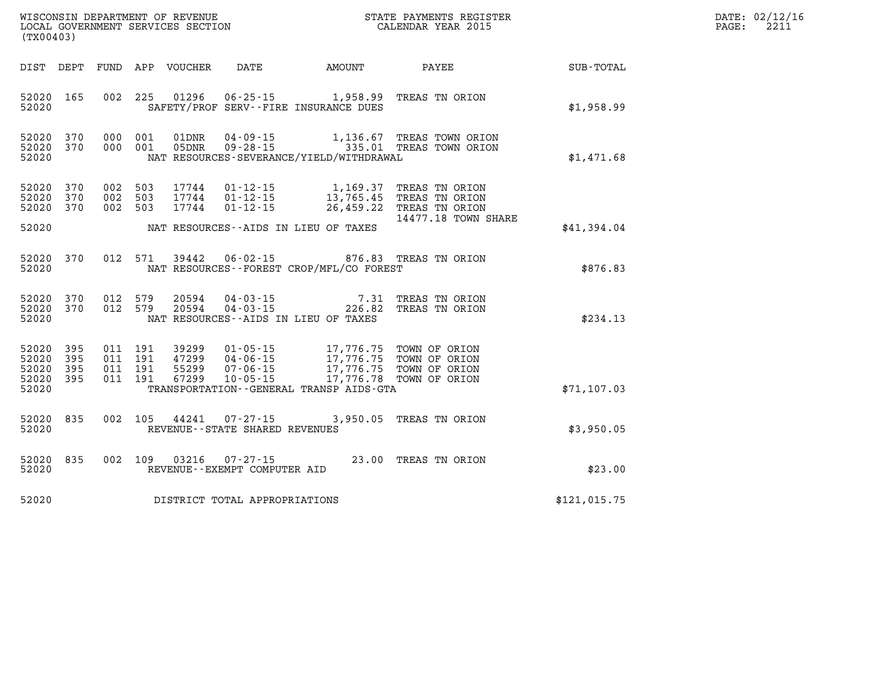| DATE: | 02/12/16 |
|-------|----------|
| PAGE: | 2211     |

| WISCONSIN DEPARTMENT OF REVENUE<br>LOCAL GOVERNMENT SERVICES SECTION FOR THE STATE PAYMENTS REGIST<br>(TY00403)<br>(TX00403) |           |  |                    |                            |                                                        |                                                                                                                                                                                                                                                                                                                                                                                                    | STATE PAYMENTS REGISTER                                                                                                                                   |              | DATE: 02/12/1<br>2211<br>PAGE: |
|------------------------------------------------------------------------------------------------------------------------------|-----------|--|--------------------|----------------------------|--------------------------------------------------------|----------------------------------------------------------------------------------------------------------------------------------------------------------------------------------------------------------------------------------------------------------------------------------------------------------------------------------------------------------------------------------------------------|-----------------------------------------------------------------------------------------------------------------------------------------------------------|--------------|--------------------------------|
|                                                                                                                              |           |  |                    | DIST DEPT FUND APP VOUCHER | <b>DATE</b>                                            |                                                                                                                                                                                                                                                                                                                                                                                                    | AMOUNT PAYEE                                                                                                                                              | SUB-TOTAL    |                                |
| 52020 165<br>52020                                                                                                           |           |  |                    |                            |                                                        | 002 225 01296 06-25-15 1,958.99 TREAS TN ORION<br>SAFETY/PROF SERV--FIRE INSURANCE DUES                                                                                                                                                                                                                                                                                                            |                                                                                                                                                           | \$1,958.99   |                                |
| 52020 370<br>52020                                                                                                           | 52020 370 |  |                    |                            |                                                        | NAT RESOURCES-SEVERANCE/YIELD/WITHDRAWAL                                                                                                                                                                                                                                                                                                                                                           | 000 001 01DNR 04-09-15 1,136.67 TREAS TOWN ORION<br>000 001 05DNR 09-28-15 335.01 TREAS TOWN ORION                                                        | \$1,471.68   |                                |
| 52020 370<br>52020 370<br>52020 370                                                                                          |           |  | 002 503<br>002 503 | 002 503 17744              |                                                        |                                                                                                                                                                                                                                                                                                                                                                                                    | 17744  01-12-15  1,169.37 TREAS TN ORION<br>17744  01-12-15  13,765.45 TREAS TN ORION<br>17744  01-12-15  26,459.22 TREAS TN ORION<br>14477.18 TOWN SHARE |              |                                |
| 52020                                                                                                                        |           |  |                    |                            |                                                        | NAT RESOURCES--AIDS IN LIEU OF TAXES                                                                                                                                                                                                                                                                                                                                                               |                                                                                                                                                           | \$41,394.04  |                                |
| 52020                                                                                                                        | 52020 370 |  |                    |                            |                                                        | 012 571 39442 06-02-15 876.83 TREAS TN ORION<br>NAT RESOURCES--FOREST CROP/MFL/CO FOREST                                                                                                                                                                                                                                                                                                           |                                                                                                                                                           | \$876.83     |                                |
| 52020 370<br>52020                                                                                                           | 52020 370 |  | 012 579<br>012 579 |                            |                                                        | NAT RESOURCES--AIDS IN LIEU OF TAXES                                                                                                                                                                                                                                                                                                                                                               | 20594  04-03-15  7.31 TREAS TN ORION<br>20594  04-03-15  226.82 TREAS TN ORION                                                                            | \$234.13     |                                |
| 52020 395<br>52020<br>52020 395<br>52020 395<br>52020                                                                        | 395       |  |                    |                            |                                                        | $\begin{array}{cccc} 011 & 191 & 39299 & 01\cdot 05\cdot 15 & 17,776.75 & \text{TOWN OF ORION} \\ 011 & 191 & 47299 & 04\cdot 06\cdot 15 & 17,776.75 & \text{TOWN OF ORION} \\ 011 & 191 & 55299 & 07\cdot 06\cdot 15 & 17,776.75 & \text{TOWN OF ORION} \\ 011 & 191 & 67299 & 10\cdot 05\cdot 15 & 17,776.78 & \text{TOWN OF ORION} \end{array}$<br>TRANSPORTATION - - GENERAL TRANSP AIDS - GTA |                                                                                                                                                           | \$71, 107.03 |                                |
| 52020 835<br>52020                                                                                                           |           |  |                    |                            | REVENUE - - STATE SHARED REVENUES                      | 002 105 44241 07-27-15 3,950.05 TREAS TN ORION                                                                                                                                                                                                                                                                                                                                                     |                                                                                                                                                           | \$3,950.05   |                                |
| 52020 835<br>52020                                                                                                           |           |  |                    |                            | 002 109 03216 07-27-15<br>REVENUE--EXEMPT COMPUTER AID | 23.00 TREAS TN ORION                                                                                                                                                                                                                                                                                                                                                                               |                                                                                                                                                           | \$23.00      |                                |
| 52020                                                                                                                        |           |  |                    |                            | DISTRICT TOTAL APPROPRIATIONS                          |                                                                                                                                                                                                                                                                                                                                                                                                    |                                                                                                                                                           | \$121,015.75 |                                |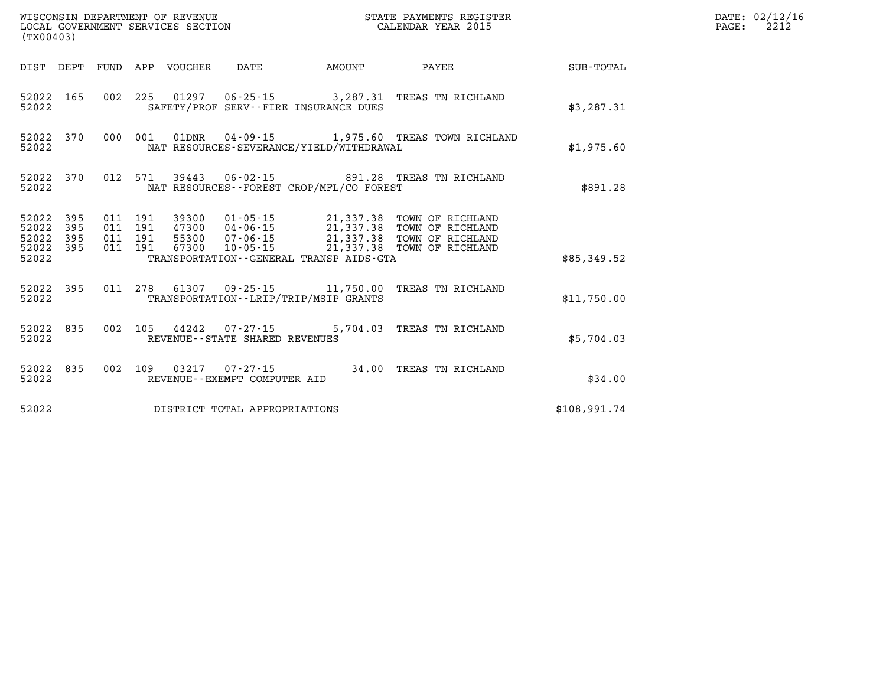| (TX00403)          |                                     |  |  |                                 |                                                                    |                                              |                                                                                                                                                                                                                  |                 | DATE: 02/12/16<br>$\mathtt{PAGE:}$<br>2212 |
|--------------------|-------------------------------------|--|--|---------------------------------|--------------------------------------------------------------------|----------------------------------------------|------------------------------------------------------------------------------------------------------------------------------------------------------------------------------------------------------------------|-----------------|--------------------------------------------|
|                    |                                     |  |  | DIST DEPT FUND APP VOUCHER DATE |                                                                    | <b>AMOUNT</b>                                |                                                                                                                                                                                                                  | PAYEE SUB-TOTAL |                                            |
| 52022              | 52022 165                           |  |  |                                 |                                                                    | SAFETY/PROF SERV--FIRE INSURANCE DUES        | 002 225 01297 06-25-15 3,287.31 TREAS TN RICHLAND                                                                                                                                                                | \$3,287.31      |                                            |
| 52022              |                                     |  |  |                                 |                                                                    | NAT RESOURCES-SEVERANCE/YIELD/WITHDRAWAL     | 52022 370 000 001 01DNR 04-09-15 1,975.60 TREAS TOWN RICHLAND                                                                                                                                                    | \$1,975.60      |                                            |
| 52022              |                                     |  |  |                                 |                                                                    | NAT RESOURCES - - FOREST CROP/MFL/CO FOREST  | 52022 370 012 571 39443 06-02-15 891.28 TREAS TN RICHLAND                                                                                                                                                        | \$891.28        |                                            |
| 52022 395<br>52022 | 52022 395<br>52022 395<br>52022 395 |  |  |                                 |                                                                    | TRANSPORTATION - - GENERAL TRANSP AIDS - GTA | 011 191 39300 01-05-15 21,337.38 TOWN OF RICHLAND<br>011 191 47300 04-06-15 21,337.38 TOWN OF RICHLAND<br>011 191 55300 07-06-15 21,337.38 TOWN OF RICHLAND<br>011 191 67300 10-05-15 21,337.38 TOWN OF RICHLAND | \$85,349.52     |                                            |
|                    |                                     |  |  |                                 |                                                                    |                                              |                                                                                                                                                                                                                  |                 |                                            |
| 52022              |                                     |  |  |                                 |                                                                    | TRANSPORTATION - - LRIP/TRIP/MSIP GRANTS     | 52022 395 011 278 61307 09-25-15 11,750.00 TREAS TN RICHLAND                                                                                                                                                     | \$11,750.00     |                                            |
| 52022              |                                     |  |  |                                 | 52022 835 002 105 44242 07-27-15<br>REVENUE--STATE SHARED REVENUES |                                              | 5,704.03 TREAS TN RICHLAND                                                                                                                                                                                       | \$5,704.03      |                                            |
| 52022              | 52022 835                           |  |  |                                 | REVENUE--EXEMPT COMPUTER AID                                       |                                              | 002 109 03217 07-27-15 34.00 TREAS TN RICHLAND                                                                                                                                                                   | \$34.00         |                                            |
| 52022              |                                     |  |  |                                 | DISTRICT TOTAL APPROPRIATIONS                                      |                                              |                                                                                                                                                                                                                  | \$108,991.74    |                                            |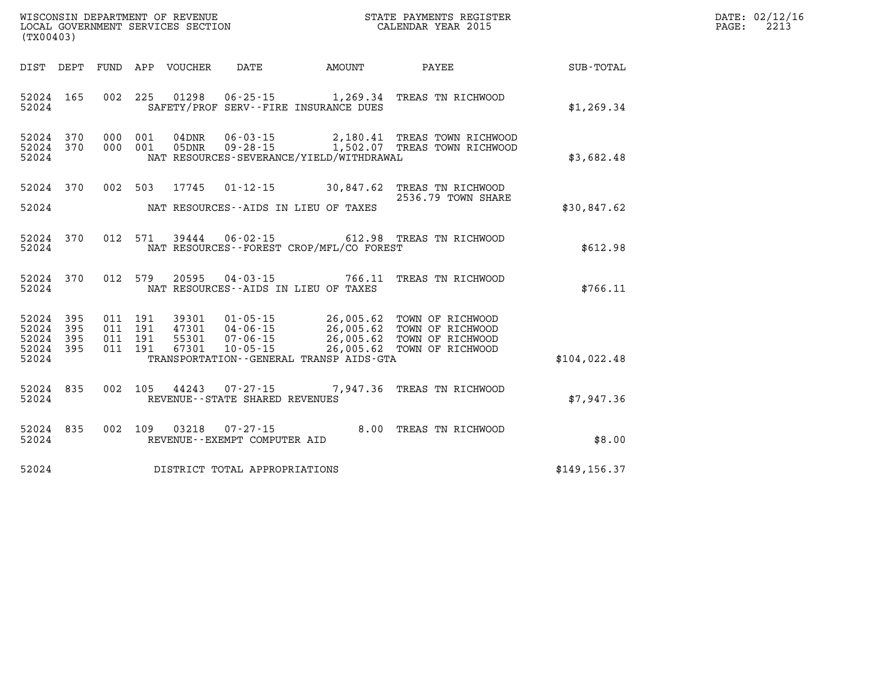| DATE: | 02/12/16 |
|-------|----------|
| PAGE: | 2213     |

| WISCONSIN DEPARTMENT OF REVENUE<br>(TX00403)                                                      | LOCAL GOVERNMENT SERVICES SECTION                                                                                                                                         | STATE PAYMENTS REGISTER<br>CALENDAR YEAR 2015                                                                                    |               |
|---------------------------------------------------------------------------------------------------|---------------------------------------------------------------------------------------------------------------------------------------------------------------------------|----------------------------------------------------------------------------------------------------------------------------------|---------------|
| DIST<br>DEPT<br>FUND                                                                              | APP<br>VOUCHER<br>DATE                                                                                                                                                    | AMOUNT<br>PAYEE                                                                                                                  | SUB-TOTAL     |
| 165<br>002<br>52024<br>52024                                                                      | 225<br>01298<br>$06 - 25 - 15$<br>SAFETY/PROF SERV--FIRE INSURANCE DUES                                                                                                   | 1,269.34<br>TREAS TN RICHWOOD                                                                                                    | \$1, 269.34   |
| 52024<br>370<br>000<br>370<br>000<br>52024<br>52024                                               | 001<br>$04$ DNR<br>$06 - 03 - 15$<br>001<br>$09 - 28 - 15$<br>05DNR<br>NAT RESOURCES-SEVERANCE/YIELD/WITHDRAWAL                                                           | 2,180.41 TREAS TOWN RICHWOOD<br>1,502.07 TREAS TOWN RICHWOOD                                                                     | \$3,682.48    |
| 370<br>002<br>52024<br>52024                                                                      | 503<br>17745<br>$01 - 12 - 15$<br>NAT RESOURCES--AIDS IN LIEU OF TAXES                                                                                                    | 30,847.62<br>TREAS TN RICHWOOD<br>2536.79 TOWN SHARE                                                                             | \$30,847.62   |
| 012<br>52024<br>370<br>52024                                                                      | 571<br>39444 06-02-15<br>NAT RESOURCES - - FOREST CROP/MFL/CO FOREST                                                                                                      | 612.98 TREAS TN RICHWOOD                                                                                                         | \$612.98      |
| 370<br>012<br>52024<br>52024                                                                      | 579<br>20595 04-03-15<br>NAT RESOURCES -- AIDS IN LIEU OF TAXES                                                                                                           | 766.11<br>TREAS TN RICHWOOD                                                                                                      | \$766.11      |
| 52024<br>395<br>011<br>52024<br>011<br>395<br>52024<br>395<br>011<br>52024<br>395<br>011<br>52024 | 191<br>39301<br>$01 - 05 - 15$<br>191<br>47301<br>04-06-15<br>55301<br>191<br>$07 - 06 - 15$<br>191<br>67301<br>$10 - 05 - 15$<br>TRANSPORTATION--GENERAL TRANSP AIDS-GTA | 26,005.62<br>TOWN OF RICHWOOD<br>26,005.62<br>TOWN OF RICHWOOD<br>26,005.62<br>TOWN OF RICHWOOD<br>26,005.62<br>TOWN OF RICHWOOD | \$104,022.48  |
| 002<br>52024<br>835<br>52024                                                                      | 105<br>44243 07-27-15<br>REVENUE - - STATE SHARED REVENUES                                                                                                                | 7,947.36<br>TREAS TN RICHWOOD                                                                                                    | \$7,947.36    |
| 002<br>52024<br>835<br>52024                                                                      | 109<br>03218<br>$07 - 27 - 15$<br>REVENUE--EXEMPT COMPUTER AID                                                                                                            | 8.00<br>TREAS TN RICHWOOD                                                                                                        | \$8.00        |
| 52024                                                                                             | DISTRICT TOTAL APPROPRIATIONS                                                                                                                                             |                                                                                                                                  | \$149, 156.37 |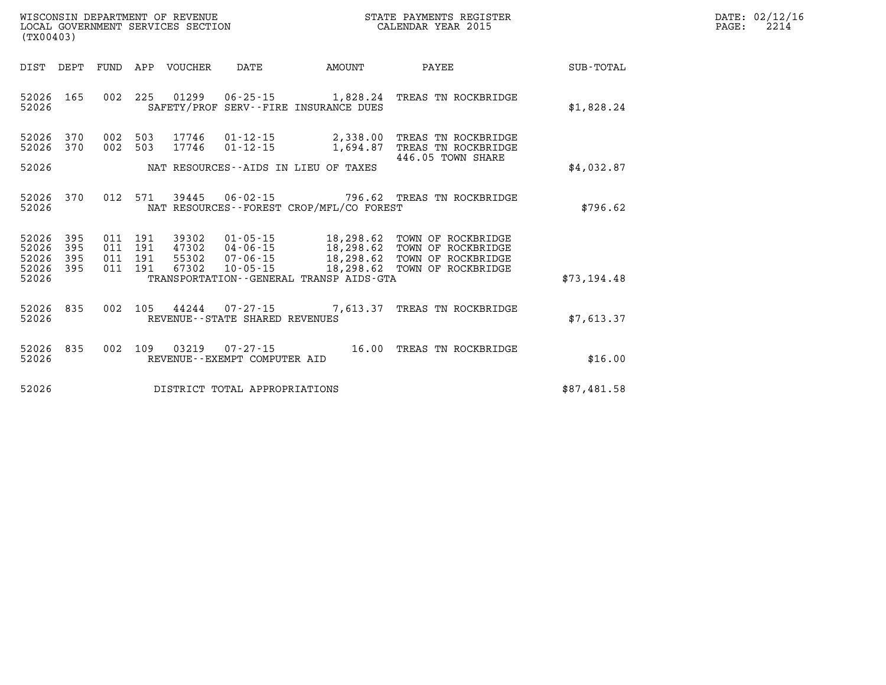| DATE: | 02/12/16 |
|-------|----------|
| PAGE: | 2214     |

| (TX00403)                        |                          |                          |                          |                                  |                                                                |                                                                      |                                                                                      |                  |
|----------------------------------|--------------------------|--------------------------|--------------------------|----------------------------------|----------------------------------------------------------------|----------------------------------------------------------------------|--------------------------------------------------------------------------------------|------------------|
| DIST                             | DEPT                     | FUND                     | APP                      | VOUCHER                          | DATE                                                           | AMOUNT                                                               | PAYEE                                                                                | <b>SUB-TOTAL</b> |
| 52026<br>52026                   | 165                      | 002                      | 225                      |                                  |                                                                | 01299   06-25-15   1,828.24<br>SAFETY/PROF SERV--FIRE INSURANCE DUES | TREAS TN ROCKBRIDGE                                                                  | \$1,828.24       |
| 52026<br>52026                   | 370<br>370               | 002<br>002               | 503<br>503               | 17746<br>17746                   | 01-12-15<br>$01 - 12 - 15$                                     | 2,338.00<br>1,694.87                                                 | TREAS TN ROCKBRIDGE<br>TREAS TN ROCKBRIDGE<br>446.05 TOWN SHARE                      |                  |
| 52026                            |                          |                          |                          |                                  |                                                                | NAT RESOURCES--AIDS IN LIEU OF TAXES                                 |                                                                                      | \$4,032.87       |
| 52026<br>52026                   | 370                      | 012                      | 571                      | 39445                            |                                                                | NAT RESOURCES - - FOREST CROP/MFL/CO FOREST                          | 06-02-15 796.62 TREAS TN ROCKBRIDGE                                                  | \$796.62         |
| 52026<br>52026<br>52026<br>52026 | 395<br>395<br>395<br>395 | 011<br>011<br>011<br>011 | 191<br>191<br>191<br>191 | 39302<br>47302<br>55302<br>67302 | $01 - 05 - 15$<br>$04 - 06 - 15$<br>07-06-15<br>$10 - 05 - 15$ | 18,298.62<br>18,298.62<br>18,298.62<br>18,298.62                     | TOWN OF ROCKBRIDGE<br>TOWN OF ROCKBRIDGE<br>TOWN OF ROCKBRIDGE<br>TOWN OF ROCKBRIDGE |                  |
| 52026                            |                          |                          |                          |                                  |                                                                | TRANSPORTATION - - GENERAL TRANSP AIDS - GTA                         |                                                                                      | \$73,194.48      |
| 52026<br>52026                   | 835                      | 002                      | 105                      | 44244                            | REVENUE - - STATE SHARED REVENUES                              | $07 - 27 - 15$ 7,613.37                                              | TREAS TN ROCKBRIDGE                                                                  | \$7,613.37       |
| 52026<br>52026                   | 835                      | 002                      | 109                      | 03219                            | 07-27-15<br>REVENUE - - EXEMPT COMPUTER AID                    | 16.00                                                                | TREAS TN ROCKBRIDGE                                                                  | \$16.00          |
| 52026                            |                          |                          |                          |                                  | DISTRICT TOTAL APPROPRIATIONS                                  |                                                                      |                                                                                      | \$87,481.58      |

WISCONSIN DEPARTMENT OF REVENUE **STATE PAYMENTS REGISTER**<br>LOCAL GOVERNMENT SERVICES SECTION

LOCAL GOVERNMENT SERVICES SECTION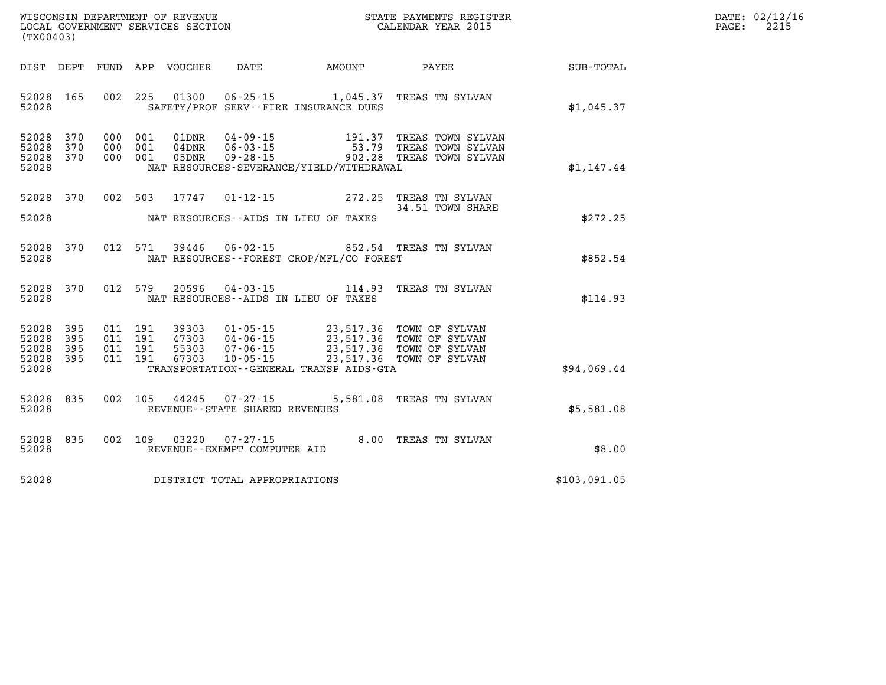| $\mathtt{DATE}$ : | 02/12/16 |
|-------------------|----------|
| PAGE:             | 2215     |

| (TX00403)                                                             |                                                                                |                                                                                                                         |           |                                                                                                    |              |
|-----------------------------------------------------------------------|--------------------------------------------------------------------------------|-------------------------------------------------------------------------------------------------------------------------|-----------|----------------------------------------------------------------------------------------------------|--------------|
| DEPT<br>DIST                                                          | FUND<br>APP VOUCHER DATE                                                       |                                                                                                                         | AMOUNT    | PAYEE                                                                                              | SUB-TOTAL    |
| 52028<br>165<br>52028                                                 | 225<br>002                                                                     | SAFETY/PROF SERV--FIRE INSURANCE DUES                                                                                   |           | 01300  06-25-15  1,045.37  TREAS TN SYLVAN                                                         | \$1,045.37   |
| 370<br>52028<br>52028<br>370<br>52028<br>370<br>52028                 | 000<br>001<br>01DNR<br>000<br>001<br>$04\,\mathrm{DNR}$<br>000<br>001<br>05DNR | $04 - 09 - 15$<br>06 - 03 - 15<br>09 - 28 - 15<br>NAT RESOURCES-SEVERANCE/YIELD/WITHDRAWAL                              | 191.37    | TREAS TOWN SYLVAN<br>TREAS TOWN SYLVAN<br>TREAS TOWN SYLVAN                                        | \$1,147.44   |
| 370<br>52028<br>52028                                                 | 002<br>503<br>17747                                                            | $01 - 12 - 15$ 272.25<br>NAT RESOURCES--AIDS IN LIEU OF TAXES                                                           |           | TREAS TN SYLVAN<br>34.51 TOWN SHARE                                                                | \$272.25     |
| 52028<br>370<br>52028                                                 | 012<br>571                                                                     | 39446 06-02-15<br>NAT RESOURCES - - FOREST CROP/MFL/CO FOREST                                                           |           | 852.54 TREAS TN SYLVAN                                                                             | \$852.54     |
| 370<br>52028<br>52028                                                 | 012 579<br>20596                                                               | $04 - 03 - 15$ 114.93<br>NAT RESOURCES -- AIDS IN LIEU OF TAXES                                                         |           | TREAS TN SYLVAN                                                                                    | \$114.93     |
| 52028<br>395<br>52028<br>395<br>52028<br>395<br>395<br>52028<br>52028 | 011<br>191<br>011<br>191<br>011<br>191<br>011<br>191<br>67303                  | 39303 01-05-15<br>47303     04-06-15<br>55303     07-06-15<br>$10 - 05 - 15$<br>TRANSPORTATION--GENERAL TRANSP AIDS-GTA | 23,517.36 | 23,517.36 TOWN OF SYLVAN<br>23,517.36 TOWN OF SYLVAN<br>23,517.36 TOWN OF SYLVAN<br>TOWN OF SYLVAN | \$94,069.44  |
| 52028<br>835<br>52028                                                 | 002<br>105<br>44245                                                            | $07 - 27 - 15$<br>REVENUE - - STATE SHARED REVENUES                                                                     | 5,581.08  | TREAS TN SYLVAN                                                                                    | \$5,581.08   |
| 835<br>52028<br>52028                                                 | 002<br>109                                                                     | 03220 07-27-15<br>REVENUE--EXEMPT COMPUTER AID                                                                          | 8.00      | TREAS TN SYLVAN                                                                                    | \$8.00       |
| 52028                                                                 | DISTRICT TOTAL APPROPRIATIONS                                                  |                                                                                                                         |           |                                                                                                    | \$103,091.05 |

WISCONSIN DEPARTMENT OF REVENUE **STATE PAYMENTS REGISTER**<br>LOCAL GOVERNMENT SERVICES SECTION

LOCAL GOVERNMENT SERVICES SECTION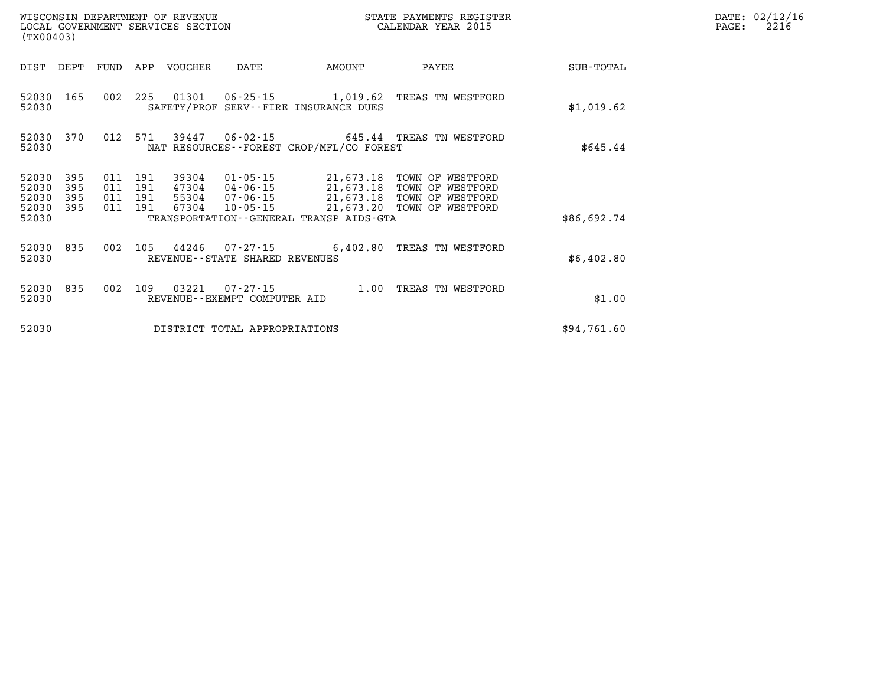| WISCONSIN DEPARTMENT OF REVENUE<br>LOCAL GOVERNMENT SERVICES SECTION<br>(TX00403) |            |            |            |                |                                                |                                                                        | STATE PAYMENTS REGISTER<br>CALENDAR YEAR 2015 |             |
|-----------------------------------------------------------------------------------|------------|------------|------------|----------------|------------------------------------------------|------------------------------------------------------------------------|-----------------------------------------------|-------------|
| DIST                                                                              | DEPT       | FUND       | APP        | VOUCHER        | DATE                                           | AMOUNT                                                                 | PAYEE                                         | SUB-TOTAL   |
| 52030<br>52030                                                                    | 165        | 002        | 225        | 01301          | $06 - 25 - 15$                                 | 1,019.62<br>SAFETY/PROF SERV--FIRE INSURANCE DUES                      | TREAS TN WESTFORD                             | \$1,019.62  |
| 52030<br>52030                                                                    | 370        | 012        | 571        | 39447          | $06 - 02 - 15$                                 | NAT RESOURCES--FOREST CROP/MFL/CO FOREST                               | 645.44 TREAS TN WESTFORD                      | \$645.44    |
| 52030<br>52030                                                                    | 395<br>395 | 011<br>011 | 191<br>191 | 39304<br>47304 | $01 - 05 - 15$<br>04-06-15                     | 21,673.18<br>21,673.18                                                 | TOWN OF WESTFORD<br>TOWN OF<br>WESTFORD       |             |
| 52030<br>52030<br>52030                                                           | 395<br>395 | 011<br>011 | 191<br>191 | 55304<br>67304 | 07-06-15<br>$10 - 05 - 15$                     | 21,673.18<br>21,673.20<br>TRANSPORTATION - - GENERAL TRANSP AIDS - GTA | TOWN OF WESTFORD<br>TOWN OF WESTFORD          | \$86,692.74 |
| 52030<br>52030                                                                    | 835        | 002        | 105        | 44246          | REVENUE--STATE SHARED REVENUES                 | $07 - 27 - 15$ 6,402.80                                                | TREAS TN WESTFORD                             | \$6,402.80  |
| 52030<br>52030                                                                    | 835        | 002        | 109        | 03221          | $07 - 27 - 15$<br>REVENUE--EXEMPT COMPUTER AID | 1.00                                                                   | TREAS TN WESTFORD                             | \$1.00      |
| 52030                                                                             |            |            |            |                | DISTRICT TOTAL APPROPRIATIONS                  |                                                                        |                                               | \$94,761.60 |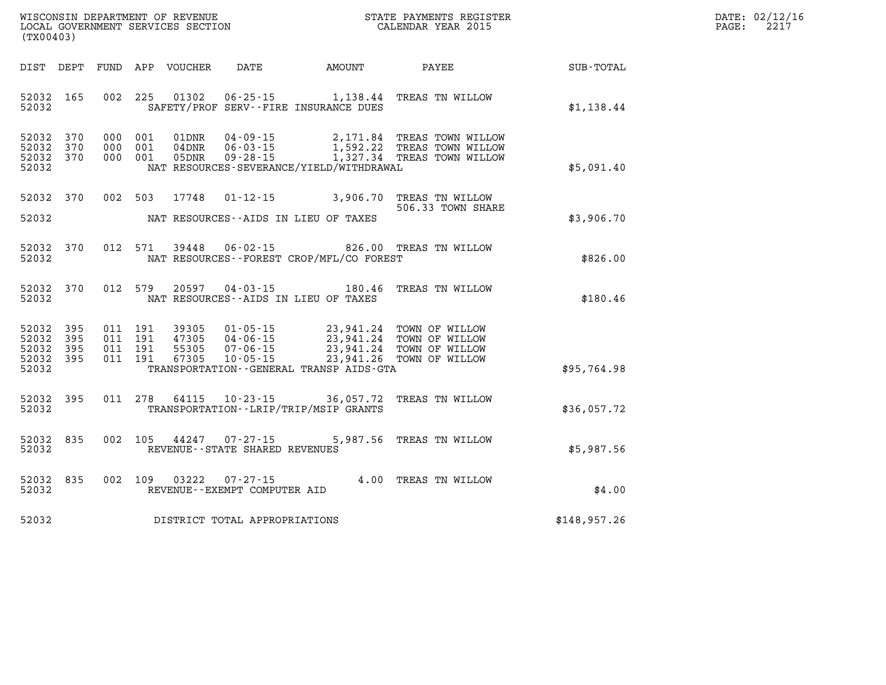| DATE:             | 02/12/16 |
|-------------------|----------|
| $\mathtt{PAGE}$ : | 2217     |

| WISCONSIN DEPARTMENT OF REVENUE<br>(TX00403)                                                      | LOCAL GOVERNMENT SERVICES SECTION                                                                                                                                                    |                                                  | STATE PAYMENTS REGISTER<br>CALENDAR YEAR 2015                        |                  |
|---------------------------------------------------------------------------------------------------|--------------------------------------------------------------------------------------------------------------------------------------------------------------------------------------|--------------------------------------------------|----------------------------------------------------------------------|------------------|
| DIST<br>DEPT<br><b>FUND</b>                                                                       | APP<br><b>VOUCHER</b><br><b>DATE</b>                                                                                                                                                 | <b>AMOUNT</b>                                    | PAYEE                                                                | <b>SUB-TOTAL</b> |
| 165<br>002<br>52032<br>52032                                                                      | 225<br>01302<br>$06 - 25 - 15$<br>SAFETY/PROF SERV--FIRE INSURANCE DUES                                                                                                              | 1,138.44                                         | TREAS TN WILLOW                                                      | \$1,138.44       |
| 370<br>52032<br>000<br>52032<br>370<br>000<br>52032<br>000<br>370<br>52032                        | 001<br>01DNR<br>$04 - 09 - 15$<br>001<br>04DNR<br>$06 - 03 - 15$<br>001<br>$09 - 28 - 15$<br>05DNR<br>NAT RESOURCES-SEVERANCE/YIELD/WITHDRAWAL                                       | 2,171.84<br>1,592.22<br>1,327.34                 | TREAS TOWN WILLOW<br>TREAS TOWN WILLOW<br>TREAS TOWN WILLOW          | \$5,091.40       |
| 002<br>52032<br>370<br>52032                                                                      | 503<br>$01 - 12 - 15$<br>17748<br>NAT RESOURCES -- AIDS IN LIEU OF TAXES                                                                                                             | 3,906.70                                         | TREAS TN WILLOW<br>506.33 TOWN SHARE                                 | \$3,906.70       |
| 52032<br>370<br>012<br>52032                                                                      | 571<br>39448<br>$06 - 02 - 15$<br>NAT RESOURCES - - FOREST CROP/MFL/CO FOREST                                                                                                        | 826.00                                           | TREAS TN WILLOW                                                      | \$826.00         |
| 370<br>012<br>52032<br>52032                                                                      | 579<br>20597<br>$04 - 03 - 15$<br>NAT RESOURCES -- AIDS IN LIEU OF TAXES                                                                                                             | 180.46                                           | TREAS TN WILLOW                                                      | \$180.46         |
| 52032<br>395<br>011<br>52032<br>395<br>011<br>52032<br>395<br>011<br>52032<br>395<br>011<br>52032 | 191<br>39305<br>$01 - 05 - 15$<br>191<br>47305<br>$04 - 06 - 15$<br>191<br>55305<br>$07 - 06 - 15$<br>191<br>67305<br>$10 - 05 - 15$<br>TRANSPORTATION - - GENERAL TRANSP AIDS - GTA | 23,941.24<br>23,941.24<br>23,941.24<br>23,941.26 | TOWN OF WILLOW<br>TOWN OF WILLOW<br>TOWN OF WILLOW<br>TOWN OF WILLOW | \$95,764.98      |
| 011<br>52032<br>395<br>52032                                                                      | 278<br>64115<br>$10 - 23 - 15$<br>TRANSPORTATION - - LRIP/TRIP/MSIP GRANTS                                                                                                           | 36,057.72                                        | TREAS TN WILLOW                                                      | \$36,057.72      |
| 52032<br>835<br>002<br>52032                                                                      | 105<br>44247<br>$07 - 27 - 15$<br>REVENUE - - STATE SHARED REVENUES                                                                                                                  | 5,987.56                                         | TREAS TN WILLOW                                                      | \$5,987.56       |
| 835<br>002<br>52032<br>52032                                                                      | 109<br>03222<br>$07 - 27 - 15$<br>REVENUE--EXEMPT COMPUTER AID                                                                                                                       | 4.00                                             | TREAS TN WILLOW                                                      | \$4.00           |
| 52032                                                                                             | DISTRICT TOTAL APPROPRIATIONS                                                                                                                                                        |                                                  |                                                                      | \$148,957.26     |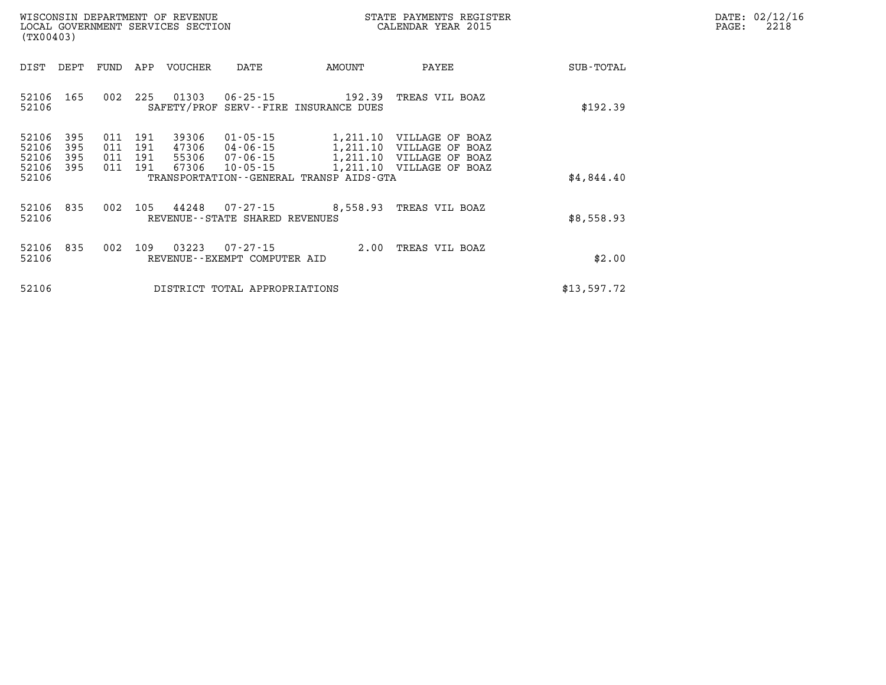| DATE: | 02/12/16 |
|-------|----------|
| PAGE: | 2218     |

| (TX00403)                                 |                          | LOCAL GOVERNMENT SERVICES SECTION |                          |                                  |                                                          | CALENDAR YEAR 2015                              |                                                                                                              | PAGE:       | 2218 |  |
|-------------------------------------------|--------------------------|-----------------------------------|--------------------------|----------------------------------|----------------------------------------------------------|-------------------------------------------------|--------------------------------------------------------------------------------------------------------------|-------------|------|--|
| DIST                                      | DEPT                     | FUND                              | APP                      | VOUCHER                          | DATE                                                     | AMOUNT                                          | PAYEE                                                                                                        | SUB-TOTAL   |      |  |
| 52106 165<br>52106                        |                          | 002                               | 225                      | 01303                            | 06-25-15                                                 | 192.39<br>SAFETY/PROF SERV--FIRE INSURANCE DUES | TREAS VIL BOAZ                                                                                               | \$192.39    |      |  |
| 52106<br>52106<br>52106<br>52106<br>52106 | 395<br>395<br>395<br>395 | 011<br>011<br>011<br>011          | 191<br>191<br>191<br>191 | 39306<br>47306<br>55306<br>67306 | $01 - 05 - 15$<br>04-06-15<br>07-06-15<br>$10 - 05 - 15$ | TRANSPORTATION--GENERAL TRANSP AIDS-GTA         | 1,211.10 VILLAGE OF BOAZ<br>1,211.10 VILLAGE OF BOAZ<br>1,211.10 VILLAGE OF BOAZ<br>1,211.10 VILLAGE OF BOAZ | \$4,844.40  |      |  |
| 52106 835<br>52106                        |                          | 002                               | 105                      | 44248                            | 07-27-15<br>REVENUE - - STATE SHARED REVENUES            | 8,558.93 TREAS VIL BOAZ                         |                                                                                                              | \$8,558.93  |      |  |
| 52106 835<br>52106                        |                          | 002                               | 109                      | 03223                            | $07 - 27 - 15$<br>REVENUE--EXEMPT COMPUTER AID           |                                                 | 2.00 TREAS VIL BOAZ                                                                                          | \$2.00      |      |  |
| 52106                                     |                          |                                   |                          |                                  | DISTRICT TOTAL APPROPRIATIONS                            |                                                 |                                                                                                              | \$13,597.72 |      |  |

WISCONSIN DEPARTMENT OF REVENUE **STATE PAYMENTS REGISTER**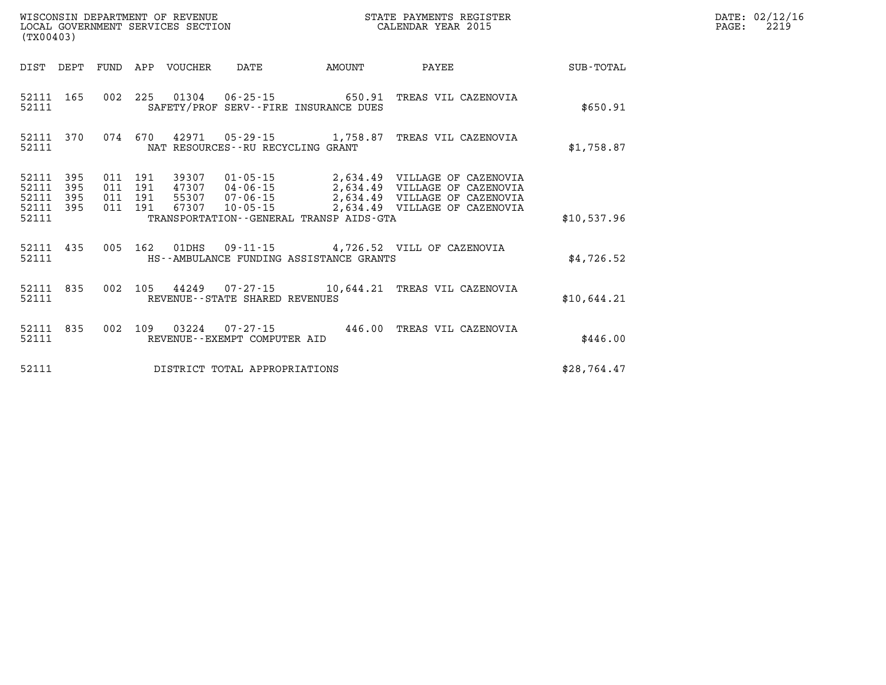| WISCONSIN DEPARTMENT OF REVENUE   | STATE PAYMENTS REGISTER |      | DATE: 02/12/16 |
|-----------------------------------|-------------------------|------|----------------|
| LOCAL GOVERNMENT SERVICES SECTION | CALENDAR YEAR 2015      | PAGE | 2219           |

| LOCAL GOVERNMENT SERVICES SECTION<br>(TX00403) |            |  |         | CALENDAR YEAR 2015                |                                         | PAGE:                                                                                                                                                                                                                     | 2219        |  |  |
|------------------------------------------------|------------|--|---------|-----------------------------------|-----------------------------------------|---------------------------------------------------------------------------------------------------------------------------------------------------------------------------------------------------------------------------|-------------|--|--|
| DIST DEPT                                      |            |  |         |                                   | FUND APP VOUCHER DATE AMOUNT            |                                                                                                                                                                                                                           |             |  |  |
| 52111 165<br>52111                             |            |  |         |                                   | SAFETY/PROF SERV--FIRE INSURANCE DUES   | 002 225 01304 06-25-15 650.91 TREAS VIL CAZENOVIA                                                                                                                                                                         | \$650.91    |  |  |
| 52111 370<br>52111                             |            |  |         | NAT RESOURCES--RU RECYCLING GRANT |                                         | 074 670 42971 05-29-15 1,758.87 TREAS VIL CAZENOVIA                                                                                                                                                                       | \$1,758.87  |  |  |
| 52111 395<br>52111<br>52111                    | 395<br>395 |  | 011 191 |                                   |                                         | 011  191  39307  01-05-15  2,634.49  VILLAGE OF CAZENOVIA<br>47307 04-06-15 2,634.49 VILLAGE OF CAZENOVIA<br>011 191 55307 07-06-15 2,634.49 VILLAGE OF CAZENOVIA<br>011 191 67307 10-05-15 2,634.49 VILLAGE OF CAZENOVIA |             |  |  |
| 52111 395<br>52111                             |            |  |         |                                   | TRANSPORTATION--GENERAL TRANSP AIDS-GTA |                                                                                                                                                                                                                           | \$10,537.96 |  |  |
| 52111 435<br>52111                             |            |  |         |                                   | HS--AMBULANCE FUNDING ASSISTANCE GRANTS | 005 162 01DHS 09-11-15 4,726.52 VILL OF CAZENOVIA                                                                                                                                                                         | \$4.726.52  |  |  |
| 52111 835<br>52111                             |            |  |         | REVENUE--STATE SHARED REVENUES    |                                         | 002 105 44249 07-27-15 10,644.21 TREAS VIL CAZENOVIA                                                                                                                                                                      | \$10,644.21 |  |  |
| 52111 835<br>52111                             |            |  |         | REVENUE--EXEMPT COMPUTER AID      |                                         | 002 109 03224 07-27-15 446.00 TREAS VIL CAZENOVIA                                                                                                                                                                         | \$446.00    |  |  |
| 52111                                          |            |  |         | DISTRICT TOTAL APPROPRIATIONS     |                                         |                                                                                                                                                                                                                           | \$28,764.47 |  |  |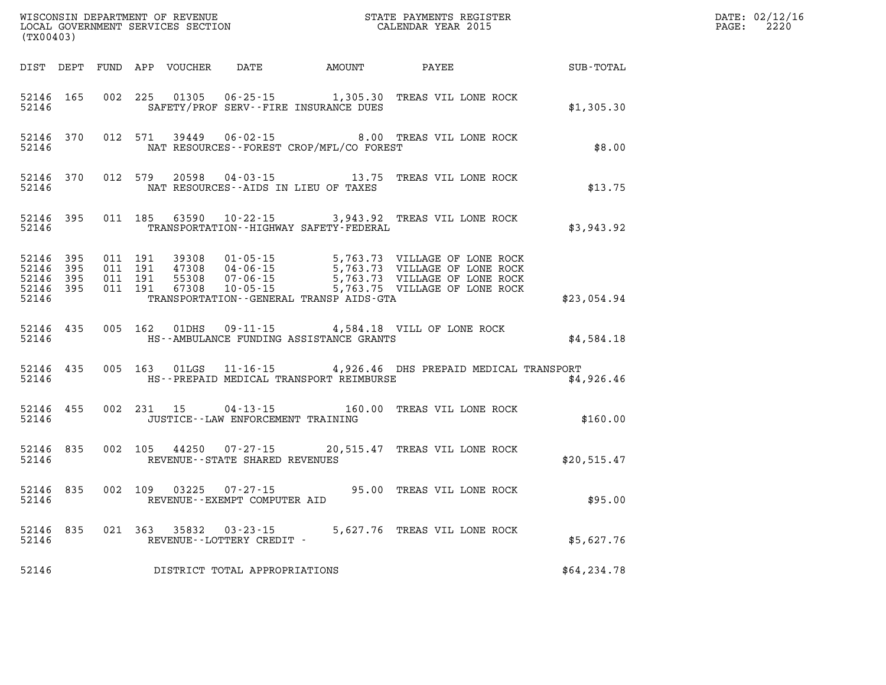| WISCONSIN DEPARTMENT OF REVENUE<br>LOCAL GOVERNMENT SERVICES SECTION THE STATE PAYMENTS REGISTER<br>(TYO0402)<br>(TX00403) |                                              |  |                         |                                |                                              | $\mathbb{R}^n$                                                | DATE: 02/12/16<br>$\mathtt{PAGE:}$<br>2220 |  |
|----------------------------------------------------------------------------------------------------------------------------|----------------------------------------------|--|-------------------------|--------------------------------|----------------------------------------------|---------------------------------------------------------------|--------------------------------------------|--|
|                                                                                                                            |                                              |  |                         |                                | DIST DEPT FUND APP VOUCHER DATE AMOUNT PAYEE |                                                               | SUB-TOTAL                                  |  |
| 52146                                                                                                                      | 52146 165                                    |  |                         |                                | SAFETY/PROF SERV--FIRE INSURANCE DUES        | 002 225 01305 06-25-15 1,305.30 TREAS VIL LONE ROCK           | \$1,305.30                                 |  |
|                                                                                                                            | 52146                                        |  |                         |                                | NAT RESOURCES--FOREST CROP/MFL/CO FOREST     | 52146 370 012 571 39449 06-02-15 8.00 TREAS VIL LONE ROCK     | \$8.00                                     |  |
| 52146                                                                                                                      |                                              |  |                         |                                | NAT RESOURCES--AIDS IN LIEU OF TAXES         | 52146 370 012 579 20598 04-03-15 13.75 TREAS VIL LONE ROCK    | \$13.75                                    |  |
| 52146                                                                                                                      | 52146 395                                    |  |                         |                                | TRANSPORTATION - - HIGHWAY SAFETY - FEDERAL  | 011 185 63590 10-22-15 3,943.92 TREAS VIL LONE ROCK           | \$3,943.92                                 |  |
| 52146 395                                                                                                                  | 52146 395<br>52146 395<br>52146 395<br>52146 |  |                         |                                | TRANSPORTATION - - GENERAL TRANSP AIDS - GTA |                                                               | \$23,054.94                                |  |
| 52146                                                                                                                      |                                              |  | 52146 435 005 162 01DHS |                                | HS--AMBULANCE FUNDING ASSISTANCE GRANTS      | 09-11-15 4,584.18 VILL OF LONE ROCK                           | \$4,584.18                                 |  |
| 52146                                                                                                                      | 52146 435                                    |  |                         |                                | HS--PREPAID MEDICAL TRANSPORT REIMBURSE      | 005 163 01LGS 11-16-15 4,926.46 DHS PREPAID MEDICAL TRANSPORT | \$4,926.46                                 |  |
|                                                                                                                            | 52146 455<br>52146                           |  |                         |                                | JUSTICE -- LAW ENFORCEMENT TRAINING          | 002 231 15 04-13-15 160.00 TREAS VIL LONE ROCK                | \$160.00                                   |  |
| 52146                                                                                                                      | 52146 835                                    |  |                         | REVENUE--STATE SHARED REVENUES |                                              | 002 105 44250 07-27-15 20,515.47 TREAS VIL LONE ROCK          | \$20,515.47                                |  |
| 52146                                                                                                                      | 52146 835                                    |  | 002 109 03225           | REVENUE--EXEMPT COMPUTER AID   |                                              | 07-27-15 95.00 TREAS VIL LONE ROCK                            | \$95.00                                    |  |
|                                                                                                                            | 52146 835<br>52146                           |  |                         | REVENUE--LOTTERY CREDIT -      |                                              | 021 363 35832 03-23-15 5,627.76 TREAS VIL LONE ROCK           | \$5,627.76                                 |  |
| 52146                                                                                                                      |                                              |  |                         | DISTRICT TOTAL APPROPRIATIONS  |                                              |                                                               | \$64, 234.78                               |  |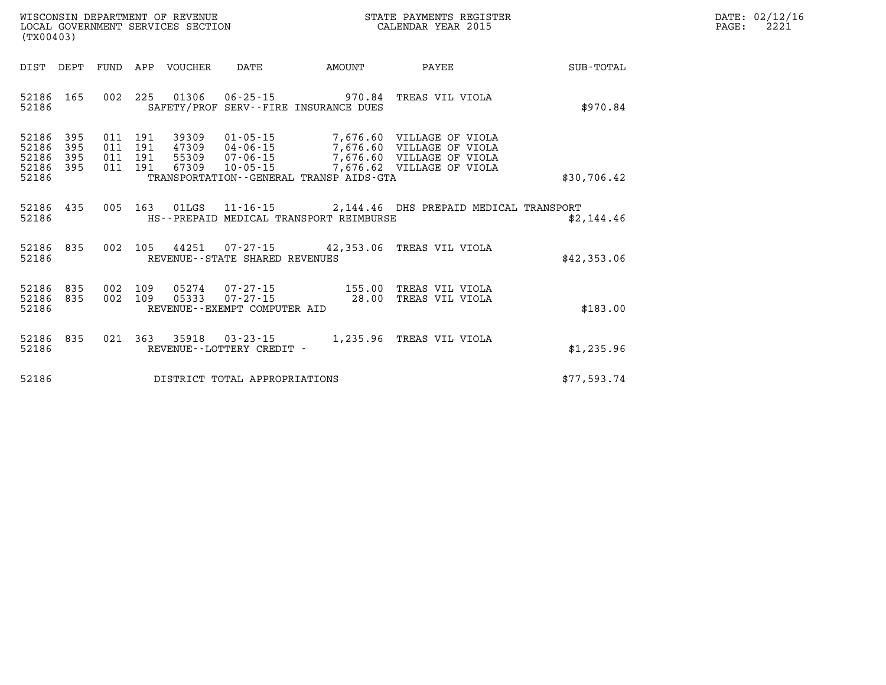| WISCONSIN DEPARTMENT OF REVENUE   | R PAYMENTS REGISTER<br>3TATE. | DATE: | 02/12/16 |
|-----------------------------------|-------------------------------|-------|----------|
| LOCAL GOVERNMENT SERVICES SECTION |                               |       | $\sim$   |
|                                   | CALENDAR YEAR 2015            | PAGE  | 444.     |

| (TX00403)                                                                                         |                                                                                                                                                                                 |                                              |                                                                              |             |
|---------------------------------------------------------------------------------------------------|---------------------------------------------------------------------------------------------------------------------------------------------------------------------------------|----------------------------------------------|------------------------------------------------------------------------------|-------------|
| DIST<br>DEPT<br>FUND                                                                              | APP<br>VOUCHER<br>DATE                                                                                                                                                          | AMOUNT                                       | PAYEE                                                                        | SUB-TOTAL   |
| 002<br>165<br>52186<br>52186                                                                      | 225<br>01306<br>$06 - 25 - 15$<br>SAFETY/PROF SERV--FIRE INSURANCE DUES                                                                                                         | 970.84                                       | TREAS VIL VIOLA                                                              | \$970.84    |
| 52186<br>395<br>011<br>52186<br>395<br>011<br>52186<br>395<br>011<br>52186<br>395<br>011<br>52186 | 191<br>39309<br>$01 - 05 - 15$<br>191<br>47309<br>$04 - 06 - 15$<br>191<br>55309<br>$07 - 06 - 15$<br>191<br>67309<br>$10 - 05 - 15$<br>TRANSPORTATION--GENERAL TRANSP AIDS-GTA | 7,676.60<br>7,676.60<br>7,676.60<br>7,676.62 | VILLAGE OF VIOLA<br>VILLAGE OF VIOLA<br>VILLAGE OF VIOLA<br>VILLAGE OF VIOLA | \$30,706.42 |
| 005<br>52186<br>435<br>52186                                                                      | 163<br>01LGS<br>HS--PREPAID MEDICAL TRANSPORT REIMBURSE                                                                                                                         | $11 - 16 - 15$ 2, 144.46                     | DHS PREPAID MEDICAL TRANSPORT                                                | \$2,144.46  |
| 002<br>52186<br>835<br>52186                                                                      | 105<br>44251<br>REVENUE--STATE SHARED REVENUES                                                                                                                                  | $07 - 27 - 15$ 42,353.06                     | TREAS VIL VIOLA                                                              | \$42,353.06 |
| 52186<br>835<br>002<br>002<br>52186<br>835<br>52186                                               | 109<br>05274<br>07-27-15<br>109<br>05333<br>$07 - 27 - 15$<br>REVENUE - - EXEMPT COMPUTER AID                                                                                   | 155.00<br>28.00                              | TREAS VIL VIOLA<br>TREAS VIL VIOLA                                           | \$183.00    |
| 021<br>835<br>52186<br>52186                                                                      | 363<br>35918<br>$03 - 23 - 15$<br>REVENUE--LOTTERY CREDIT -                                                                                                                     | 1,235.96                                     | TREAS VIL VIOLA                                                              | \$1,235.96  |
| 52186                                                                                             | DISTRICT TOTAL APPROPRIATIONS                                                                                                                                                   |                                              |                                                                              | \$77,593.74 |

WISCONSIN DEPARTMENT OF REVENUE **STATE PAYMENTS REGISTER** LOCAL GOVERNMENT SERVICES SECTION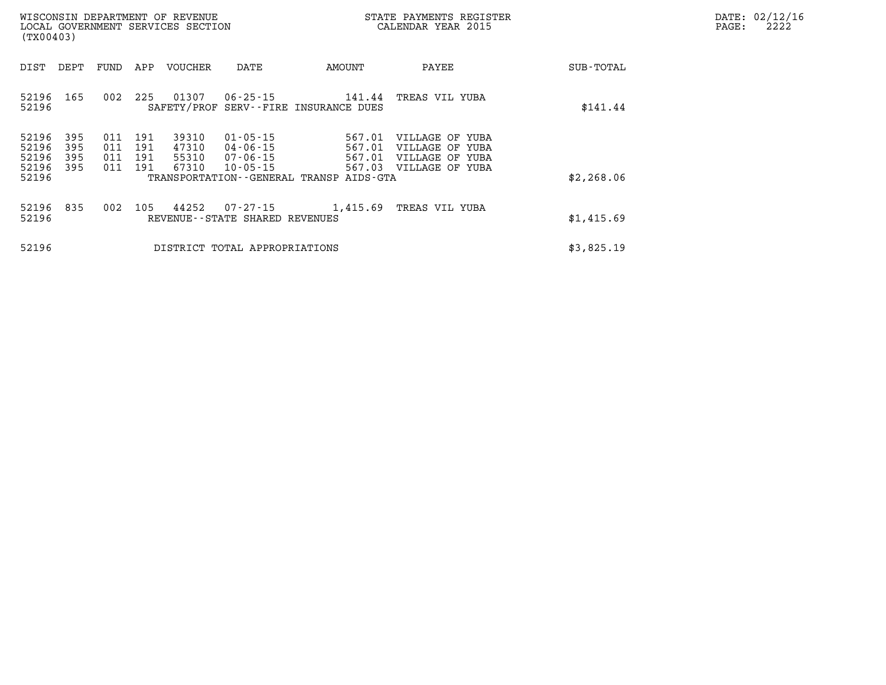| (TX00403)                                                             | WISCONSIN DEPARTMENT OF REVENUE<br>LOCAL GOVERNMENT SERVICES SECTION |                                                                                              |                                                                       | STATE PAYMENTS REGISTER<br>CALENDAR YEAR 2015                                   |            | DATE: 02/12/16<br>2222<br>PAGE: |
|-----------------------------------------------------------------------|----------------------------------------------------------------------|----------------------------------------------------------------------------------------------|-----------------------------------------------------------------------|---------------------------------------------------------------------------------|------------|---------------------------------|
| DEPT<br>DIST                                                          | FUND<br>APP                                                          | VOUCHER<br>DATE                                                                              | AMOUNT                                                                | PAYEE                                                                           | SUB-TOTAL  |                                 |
| 165<br>52196<br>52196                                                 | 002<br>225                                                           | 01307<br>06-25-15                                                                            | 141.44<br>SAFETY/PROF SERV--FIRE INSURANCE DUES                       | TREAS VIL YUBA                                                                  | \$141.44   |                                 |
| 395<br>52196<br>52196<br>395<br>52196<br>395<br>52196<br>395<br>52196 | 011<br>191<br>011<br>191<br>011<br>191<br>011<br>191                 | 39310<br>$01 - 05 - 15$<br>47310<br>04-06-15<br>55310<br>07-06-15<br>67310<br>$10 - 05 - 15$ | 567.01<br>567.01<br>567.01<br>TRANSPORTATION--GENERAL TRANSP AIDS-GTA | VILLAGE OF YUBA<br>VILLAGE OF YUBA<br>VILLAGE OF YUBA<br>567.03 VILLAGE OF YUBA | \$2,268.06 |                                 |
| 52196 835<br>52196                                                    | 002<br>105                                                           | 44252<br>07-27-15<br>REVENUE--STATE SHARED REVENUES                                          | 1,415.69                                                              | TREAS VIL YUBA                                                                  | \$1,415.69 |                                 |
| 52196                                                                 |                                                                      | DISTRICT TOTAL APPROPRIATIONS                                                                |                                                                       |                                                                                 | \$3,825.19 |                                 |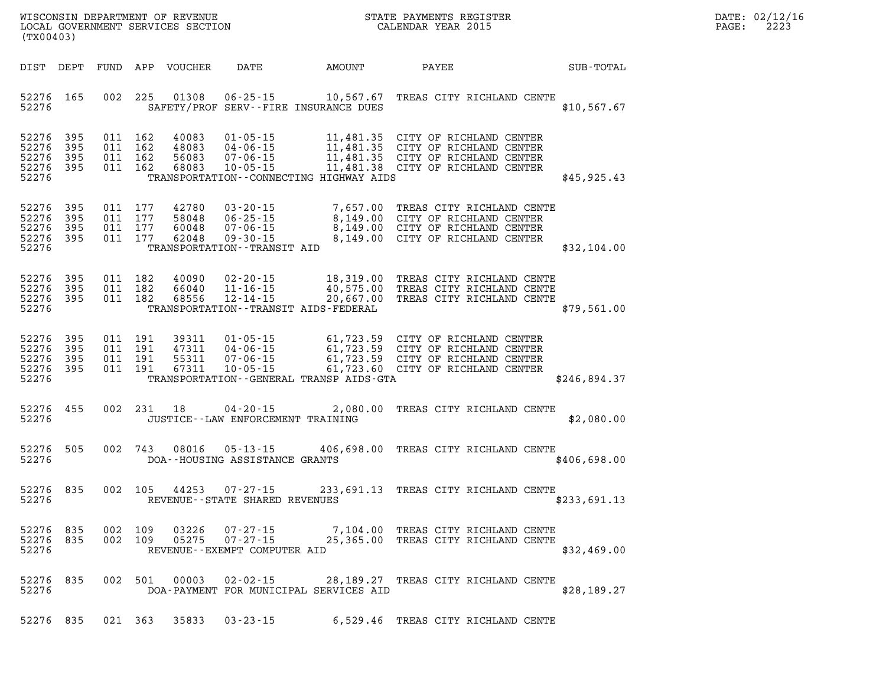| WISCONSIN DEPARTMENT OF REVENUE   | STATE PAYMENTS REGISTER |       | DATE: 02/12/16 |
|-----------------------------------|-------------------------|-------|----------------|
| LOCAL GOVERNMENT SERVICES SECTION | CALENDAR YEAR 2015      | PAGE: | 2223           |
| MTOMO3                            |                         |       |                |

| (TX00403)                                 |                          |                          |                          |                                  |                                                                                                        |                                                                                             |                                                                                                            |              |
|-------------------------------------------|--------------------------|--------------------------|--------------------------|----------------------------------|--------------------------------------------------------------------------------------------------------|---------------------------------------------------------------------------------------------|------------------------------------------------------------------------------------------------------------|--------------|
| DIST                                      | DEPT                     | FUND                     | APP                      | <b>VOUCHER</b>                   | DATE                                                                                                   | AMOUNT                                                                                      | PAYEE                                                                                                      | SUB-TOTAL    |
| 52276<br>52276                            | 165                      | 002                      | 225                      | 01308                            | $06 - 25 - 15$                                                                                         | 10,567.67<br>SAFETY/PROF SERV--FIRE INSURANCE DUES                                          | TREAS CITY RICHLAND CENTE                                                                                  | \$10,567.67  |
| 52276<br>52276<br>52276<br>52276<br>52276 | 395<br>395<br>395<br>395 | 011<br>011<br>011<br>011 | 162<br>162<br>162<br>162 | 40083<br>48083<br>56083<br>68083 | $01 - 05 - 15$<br>$04 - 06 - 15$<br>$07 - 06 - 15$<br>$10 - 05 - 15$                                   | 11,481.35<br>11,481.35<br>11,481.35<br>11,481.38<br>TRANSPORTATION--CONNECTING HIGHWAY AIDS | CITY OF RICHLAND CENTER<br>CITY OF RICHLAND CENTER<br>CITY OF RICHLAND CENTER<br>CITY OF RICHLAND CENTER   | \$45,925.43  |
| 52276<br>52276<br>52276<br>52276<br>52276 | 395<br>395<br>395<br>395 | 011<br>011<br>011<br>011 | 177<br>177<br>177<br>177 | 42780<br>58048<br>60048<br>62048 | $03 - 20 - 15$<br>$06 - 25 - 15$<br>$07 - 06 - 15$<br>$09 - 30 - 15$<br>TRANSPORTATION - - TRANSIT AID | 7,657.00<br>8,149.00<br>8,149.00<br>8,149.00                                                | TREAS CITY RICHLAND CENTE<br>CITY OF RICHLAND CENTER<br>CITY OF RICHLAND CENTER<br>CITY OF RICHLAND CENTER | \$32,104.00  |
| 52276<br>52276<br>52276<br>52276          | 395<br>395<br>395        | 011<br>011<br>011        | 182<br>182<br>182        | 40090<br>66040<br>68556          | $02 - 20 - 15$<br>$11 - 16 - 15$<br>$12 - 14 - 15$                                                     | 18,319.00<br>40,575.00<br>20,667.00<br>TRANSPORTATION - - TRANSIT AIDS - FEDERAL            | TREAS CITY RICHLAND CENTE<br>TREAS CITY RICHLAND CENTE<br>TREAS CITY RICHLAND CENTE                        | \$79,561.00  |
| 52276<br>52276<br>52276<br>52276<br>52276 | 395<br>395<br>395<br>395 | 011<br>011<br>011<br>011 | 191<br>191<br>191<br>191 | 39311<br>47311<br>55311<br>67311 | $01 - 05 - 15$<br>$04 - 06 - 15$<br>$07 - 06 - 15$<br>$10 - 05 - 15$                                   | 61,723.59<br>61,723.59<br>61,723.59<br>61,723.60<br>TRANSPORTATION--GENERAL TRANSP AIDS-GTA | CITY OF RICHLAND CENTER<br>CITY OF RICHLAND CENTER<br>CITY OF RICHLAND CENTER<br>CITY OF RICHLAND CENTER   | \$246,894.37 |
| 52276<br>52276                            | 455                      | 002                      | 231                      | 18                               | $04 - 20 - 15$<br>JUSTICE - - LAW ENFORCEMENT TRAINING                                                 | 2,080.00                                                                                    | TREAS CITY RICHLAND CENTE                                                                                  | \$2,080.00   |
| 52276<br>52276                            | 505                      | 002                      | 743                      | 08016                            | $05 - 13 - 15$<br>DOA--HOUSING ASSISTANCE GRANTS                                                       | 406,698.00                                                                                  | TREAS CITY RICHLAND CENTE                                                                                  | \$406,698.00 |
| 52276<br>52276                            | 835                      | 002                      | 105                      | 44253                            | $07 - 27 - 15$<br>REVENUE--STATE SHARED REVENUES                                                       | 233,691.13                                                                                  | TREAS CITY RICHLAND CENTE                                                                                  | \$233,691.13 |
| 52276<br>52276 835<br>52276               | 835                      | 002<br>002               | 109<br>109               | 03226<br>05275                   | $07 - 27 - 15$<br>REVENUE--EXEMPT COMPUTER AID                                                         | 7,104.00                                                                                    | TREAS CITY RICHLAND CENTE<br>07-27-15 25,365.00 TREAS CITY RICHLAND CENTE                                  | \$32,469.00  |
| 52276<br>52276                            | 835                      | 002                      | 501                      |                                  |                                                                                                        | DOA-PAYMENT FOR MUNICIPAL SERVICES AID                                                      | 00003  02-02-15  28,189.27  TREAS CITY RICHLAND CENTE                                                      | \$28, 189.27 |
| 52276                                     | 835                      |                          | 021 363                  |                                  | 35833 03-23-15                                                                                         |                                                                                             | 6,529.46 TREAS CITY RICHLAND CENTE                                                                         |              |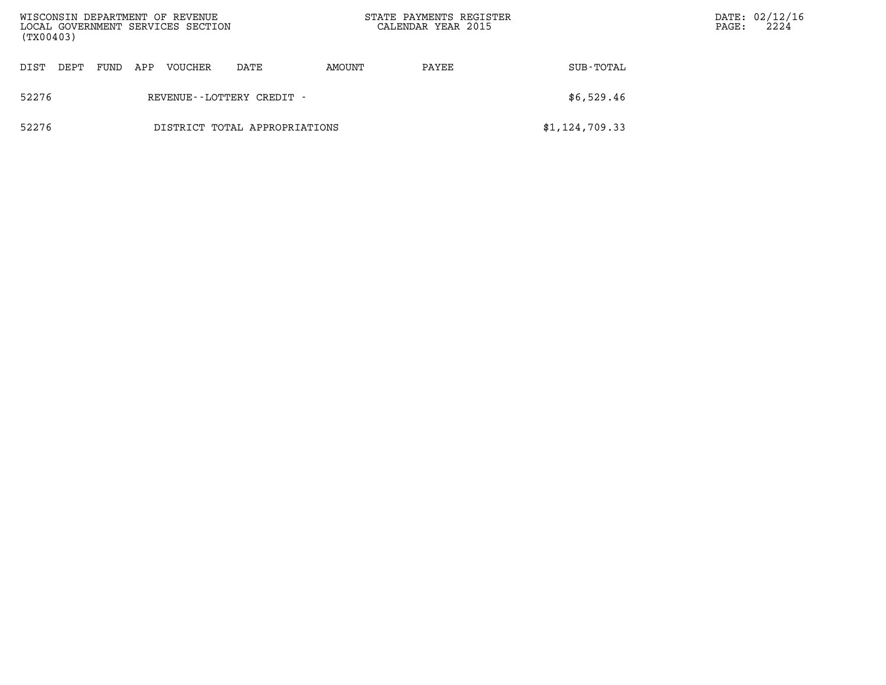| WISCONSIN DEPARTMENT OF REVENUE<br>LOCAL GOVERNMENT SERVICES SECTION<br>(TX00403) |      |     |         |                               |        | STATE PAYMENTS REGISTER<br>CALENDAR YEAR 2015 |                | PAGE: | DATE: 02/12/16<br>2224 |
|-----------------------------------------------------------------------------------|------|-----|---------|-------------------------------|--------|-----------------------------------------------|----------------|-------|------------------------|
| DIST<br>DEPT                                                                      | FUND | APP | VOUCHER | DATE                          | AMOUNT | PAYEE                                         | SUB-TOTAL      |       |                        |
| 52276                                                                             |      |     |         | REVENUE--LOTTERY CREDIT -     |        |                                               | \$6,529.46     |       |                        |
| 52276                                                                             |      |     |         | DISTRICT TOTAL APPROPRIATIONS |        |                                               | \$1,124,709.33 |       |                        |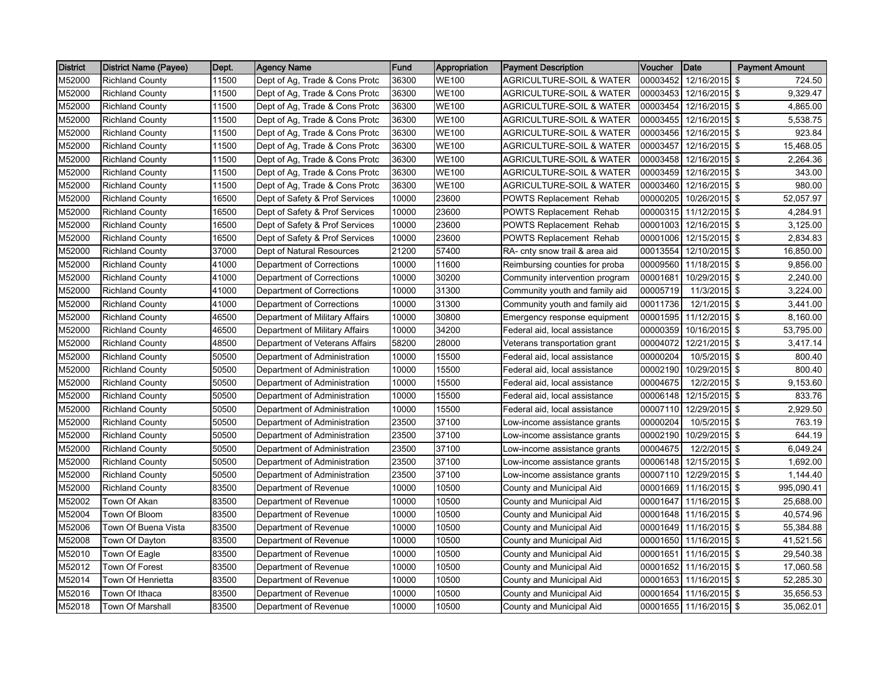| <b>District</b> | <b>District Name (Payee)</b> | Dept. | <b>Agency Name</b>             | <b>Fund</b> | Appropriation | <b>Payment Description</b>          | Voucher  | <b>Date</b>            | <b>Payment Amount</b> |
|-----------------|------------------------------|-------|--------------------------------|-------------|---------------|-------------------------------------|----------|------------------------|-----------------------|
| M52000          | <b>Richland County</b>       | 11500 | Dept of Ag, Trade & Cons Protc | 36300       | <b>WE100</b>  | <b>AGRICULTURE-SOIL &amp; WATER</b> | 00003452 | 12/16/2015 \$          | 724.50                |
| M52000          | <b>Richland County</b>       | 11500 | Dept of Ag, Trade & Cons Protc | 36300       | <b>WE100</b>  | <b>AGRICULTURE-SOIL &amp; WATER</b> | 00003453 | 12/16/2015 \$          | 9,329.47              |
| M52000          | <b>Richland County</b>       | 11500 | Dept of Ag, Trade & Cons Protc | 36300       | <b>WE100</b>  | <b>AGRICULTURE-SOIL &amp; WATER</b> | 00003454 | 12/16/2015 \$          | 4,865.00              |
| M52000          | <b>Richland County</b>       | 11500 | Dept of Ag, Trade & Cons Protc | 36300       | <b>WE100</b>  | AGRICULTURE-SOIL & WATER            | 00003455 | 12/16/2015 \$          | 5,538.75              |
| M52000          | <b>Richland County</b>       | 11500 | Dept of Ag, Trade & Cons Protc | 36300       | <b>WE100</b>  | AGRICULTURE-SOIL & WATER            | 00003456 | 12/16/2015 \$          | 923.84                |
| M52000          | <b>Richland County</b>       | 11500 | Dept of Ag, Trade & Cons Protc | 36300       | <b>WE100</b>  | <b>AGRICULTURE-SOIL &amp; WATER</b> | 00003457 | 12/16/2015 \$          | 15,468.05             |
| M52000          | <b>Richland County</b>       | 11500 | Dept of Ag, Trade & Cons Protc | 36300       | <b>WE100</b>  | AGRICULTURE-SOIL & WATER            | 00003458 | 12/16/2015 \$          | 2,264.36              |
| M52000          | <b>Richland County</b>       | 11500 | Dept of Ag, Trade & Cons Protc | 36300       | <b>WE100</b>  | AGRICULTURE-SOIL & WATER            | 00003459 | 12/16/2015 \$          | 343.00                |
| M52000          | <b>Richland County</b>       | 11500 | Dept of Ag, Trade & Cons Protc | 36300       | <b>WE100</b>  | AGRICULTURE-SOIL & WATER            | 00003460 | 12/16/2015 \$          | 980.00                |
| M52000          | <b>Richland County</b>       | 16500 | Dept of Safety & Prof Services | 10000       | 23600         | <b>POWTS Replacement Rehab</b>      | 00000205 | 10/26/2015 \$          | 52,057.97             |
| M52000          | <b>Richland County</b>       | 16500 | Dept of Safety & Prof Services | 10000       | 23600         | <b>POWTS Replacement Rehab</b>      | 00000315 | $11/12/2015$ \$        | 4,284.91              |
| M52000          | <b>Richland County</b>       | 16500 | Dept of Safety & Prof Services | 10000       | 23600         | <b>POWTS Replacement Rehab</b>      | 00001003 | 12/16/2015 \$          | 3,125.00              |
| M52000          | <b>Richland County</b>       | 16500 | Dept of Safety & Prof Services | 10000       | 23600         | <b>POWTS Replacement Rehab</b>      | 00001006 | 12/15/2015 \$          | 2,834.83              |
| M52000          | <b>Richland County</b>       | 37000 | Dept of Natural Resources      | 21200       | 57400         | RA- cnty snow trail & area aid      | 00013554 | 12/10/2015 \$          | 16,850.00             |
| M52000          | <b>Richland County</b>       | 41000 | Department of Corrections      | 10000       | 11600         | Reimbursing counties for proba      | 00009560 | 11/18/2015 \$          | 9,856.00              |
| M52000          | <b>Richland County</b>       | 41000 | Department of Corrections      | 10000       | 30200         | Community intervention program      | 0000168  | 10/29/2015 \$          | 2,240.00              |
| M52000          | <b>Richland County</b>       | 41000 | Department of Corrections      | 10000       | 31300         | Community youth and family aid      | 00005719 | 11/3/2015 \$           | 3,224.00              |
| M52000          | <b>Richland County</b>       | 41000 | Department of Corrections      | 10000       | 31300         | Community youth and family aid      | 00011736 | 12/1/2015 \$           | 3,441.00              |
| M52000          | <b>Richland County</b>       | 46500 | Department of Military Affairs | 10000       | 30800         | Emergency response equipment        | 00001595 | 11/12/2015 \$          | 8,160.00              |
| M52000          | <b>Richland County</b>       | 46500 | Department of Military Affairs | 10000       | 34200         | Federal aid, local assistance       | 00000359 | $10/16/2015$ \$        | 53,795.00             |
| M52000          | <b>Richland County</b>       | 48500 | Department of Veterans Affairs | 58200       | 28000         | Veterans transportation grant       | 00004072 | 12/21/2015 \$          | 3,417.14              |
| M52000          | <b>Richland County</b>       | 50500 | Department of Administration   | 10000       | 15500         | Federal aid, local assistance       | 00000204 | 10/5/2015 \$           | 800.40                |
| M52000          | <b>Richland County</b>       | 50500 | Department of Administration   | 10000       | 15500         | Federal aid, local assistance       | 00002190 | 10/29/2015 \$          | 800.40                |
| M52000          | <b>Richland County</b>       | 50500 | Department of Administration   | 10000       | 15500         | Federal aid, local assistance       | 00004675 | 12/2/2015 \$           | 9,153.60              |
| M52000          | <b>Richland County</b>       | 50500 | Department of Administration   | 10000       | 15500         | Federal aid, local assistance       | 00006148 | 12/15/2015 \$          | 833.76                |
| M52000          | <b>Richland County</b>       | 50500 | Department of Administration   | 10000       | 15500         | Federal aid, local assistance       | 00007110 | 12/29/2015 \$          | 2,929.50              |
| M52000          | <b>Richland County</b>       | 50500 | Department of Administration   | 23500       | 37100         | Low-income assistance grants        | 00000204 | 10/5/2015 \$           | 763.19                |
| M52000          | <b>Richland County</b>       | 50500 | Department of Administration   | 23500       | 37100         | Low-income assistance grants        | 00002190 | 10/29/2015 \$          | 644.19                |
| M52000          | <b>Richland County</b>       | 50500 | Department of Administration   | 23500       | 37100         | Low-income assistance grants        | 00004675 | $12/2/2015$ \$         | 6,049.24              |
| M52000          | <b>Richland County</b>       | 50500 | Department of Administration   | 23500       | 37100         | Low-income assistance grants        | 00006148 | 12/15/2015 \$          | 1,692.00              |
| M52000          | <b>Richland County</b>       | 50500 | Department of Administration   | 23500       | 37100         | Low-income assistance grants        | 00007110 | 12/29/2015 \$          | 1,144.40              |
| M52000          | <b>Richland County</b>       | 83500 | Department of Revenue          | 10000       | 10500         | County and Municipal Aid            | 00001669 | 11/16/2015 \$          | 995,090.41            |
| M52002          | Town Of Akan                 | 83500 | Department of Revenue          | 10000       | 10500         | County and Municipal Aid            | 00001647 | 11/16/2015 \$          | 25,688.00             |
| M52004          | Town Of Bloom                | 83500 | Department of Revenue          | 10000       | 10500         | County and Municipal Aid            | 00001648 | 11/16/2015 \$          | 40,574.96             |
| M52006          | Town Of Buena Vista          | 83500 | Department of Revenue          | 10000       | 10500         | County and Municipal Aid            | 00001649 | 11/16/2015 \$          | 55,384.88             |
| M52008          | Town Of Dayton               | 83500 | Department of Revenue          | 10000       | 10500         | County and Municipal Aid            | 00001650 | 11/16/2015 \$          | 41,521.56             |
| M52010          | Town Of Eagle                | 83500 | Department of Revenue          | 10000       | 10500         | County and Municipal Aid            | 00001651 | 11/16/2015 \$          | 29,540.38             |
| M52012          | Town Of Forest               | 83500 | Department of Revenue          | 10000       | 10500         | County and Municipal Aid            | 00001652 | 11/16/2015 \$          | 17,060.58             |
| M52014          | Town Of Henrietta            | 83500 | Department of Revenue          | 10000       | 10500         | County and Municipal Aid            | 00001653 | 11/16/2015 \$          | 52,285.30             |
| M52016          | Town Of Ithaca               | 83500 | Department of Revenue          | 10000       | 10500         | County and Municipal Aid            | 00001654 | $11/16/2015$ \$        | 35,656.53             |
| M52018          | <b>Town Of Marshall</b>      | 83500 | Department of Revenue          | 10000       | 10500         | County and Municipal Aid            |          | 00001655 11/16/2015 \$ | 35,062.01             |